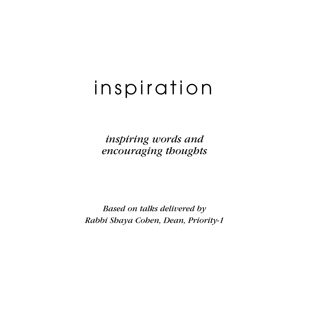# inspiration

*inspiring words and encouraging thoughts* 

*Based on talks delivered by Rabbi Shaya Cohen, Dean, Priority-1*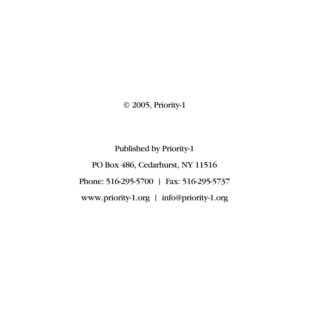© 2005, Priority-1

Published by Priority-1 PO Box 486, Cedarhurst, NY 11516 Phone: 516-295-5700 | Fax: 516-295-5737 www.priority-1.org | info@priority-1.org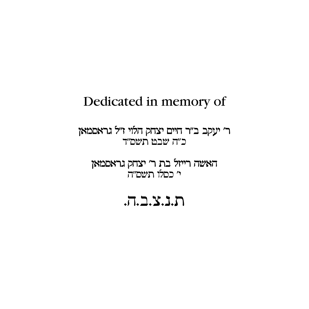# Dedicated in memory of

ר' יעקב ב"ר חיים יצחק הלוי ז"ל גראםמאן כ״ה שבט תשם״ד

האשה רייזל בת ר׳ יצחק גראםמאן י׳ כםלו תשם״ה

 $J.L.Y.J.D.$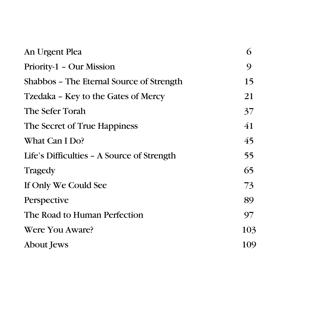| An Urgent Plea                             | 6   |
|--------------------------------------------|-----|
| Priority-1 - Our Mission                   | 9   |
| Shabbos – The Eternal Source of Strength   | 15  |
| Tzedaka – Key to the Gates of Mercy        | 21  |
| The Sefer Torah                            | 37  |
| The Secret of True Happiness               | 41  |
| What Can I Do?                             | 45  |
| Life's Difficulties - A Source of Strength | 55  |
| <b>Tragedy</b>                             | 65  |
| If Only We Could See                       | 73  |
| Perspective                                | 89  |
| The Road to Human Perfection               | 97  |
| Were You Aware?                            | 103 |
| About Jews                                 | 109 |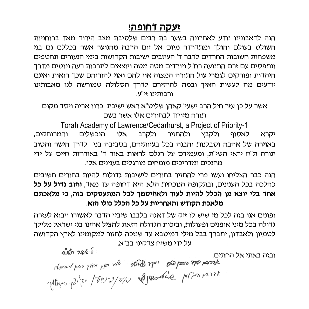#### ועקה דחופה!

הנה לדאבונינו נודע לאחרונה בשער בת רבים שלסיבת מצב הירוד מאד ברוחניות השולט בעולם והולך ומתדרדר מיום אל יום הרבה מהנוער אשר בכללם גם בני משפחות חשובות החרדים לדבר ד' העוזבים ישיבות הקדושות בימי הנעורים ונחטפים ונתפסים עם זרם התנועה רח"ל ויורדים מטה מטה ויוצאים לתרבות רעה ונוטים מדרד היהדות ופורקים לגמרי עול התורה המצוה אוי להם ואוי להוריהם שכך רואות ואינם יודעים מה לעשות האיך ובמה להחזירם לדרך הסלולה שמורשה לנו מאבותינו ורבותינו זי"ע.

אשר על כן עזר חיל הרב ישעי' קאהן שליט"א ראש ישיבת כרון אריה ויסד מקום חורה מיוחד לרחוריח אלו אשר רשח

Torah Academy of Lawrence/Cedarhurst, a Project of Priority-1 והמרוחקים. הנכשלים אלו ולקרב ולקבץ ולהחזיר לאסוף יקרא באוירה של אהבה וסבלנות והבנה בכל בעיותיהם, בסביבה בני לדרך הישר והטוב תורה ת"ח יראי השי"ת, ומעמידם על רגלם לראות באור ד' באורחות חיים על ידי מחנכים ומדריכים מומחים מורגלים בענינים אלו.

הנה כבר הצליחו ועשו פרי להחזיר בחורים לישיבות גדולות להיות בחורים חשובים כהלכה בכל הענינים, ובתקופה הנוכחית הלא היא דחופה עד מאד, **וחוב גדול על כל** אחד בלי יוצא מן הכלל להיות לעזר ולאחיסמך לכל המתעסקים בזה, כי מלאכתם מלאכת הקודש והאחריות על כל הכלל כולו הוא.

ופונים אנו בזה לכל מי שיש לו זיק של דאגה בלבבו שיבין הדבר לאשורו ויבוא לעזרה גדולה בכל מיני אופנים ופעולות, ובזכות הגדולה הזאת להציל אחינו בני ישראל מלילך לטמיון ולאבדון, יתברך בבל מילי דמיטבא עד שנזכה לחזור למקומינו לארץ הקדושה על ידי משיח צדקינו בב"א.

 $n$ un  $236$ 

Man p31 for / 109's/11/2 Storting Main panek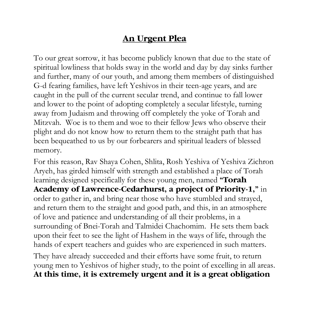### **An Urgent Plea**

To our great sorrow, it has become publicly known that due to the state of spiritual lowliness that holds sway in the world and day by day sinks further and further, many of our youth, and among them members of distinguished G-d fearing families, have left Yeshivos in their teen-age years, and are caught in the pull of the current secular trend, and continue to fall lower and lower to the point of adopting completely a secular lifestyle, turning away from Judaism and throwing off completely the yoke of Torah and Mitzvah. Woe is to them and woe to their fellow Jews who observe their plight and do not know how to return them to the straight path that has been bequeathed to us by our forbearers and spiritual leaders of blessed memory.

For this reason, Rav Shaya Cohen, Shlita, Rosh Yeshiva of Yeshiva Zichron Aryeh, has girded himself with strength and established a place of Torah learning designed specifically for these young men, named **"Torah Academy of Lawrence-Cedarhurst, a project of Priority-1,"** in order to gather in, and bring near those who have stumbled and strayed, and return them to the straight and good path, and this, in an atmosphere of love and patience and understanding of all their problems, in a surrounding of Bnei-Torah and Talmidei Chachomim. He sets them back upon their feet to see the light of Hashem in the ways of life, through the hands of expert teachers and guides who are experienced in such matters.

They have already succeeded and their efforts have some fruit, to return young men to Yeshivos of higher study, to the point of excelling in all areas. **At this time, it is extremely urgent and it is a great obligation**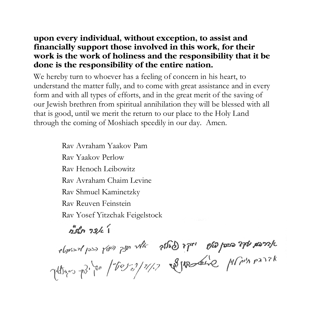#### **upon every individual, without exception, to assist and financially support those involved in this work, for their work is the work of holiness and the responsibility that it be done is the responsibility of the entire nation.**

We hereby turn to whoever has a feeling of concern in his heart, to understand the matter fully, and to come with great assistance and in every form and with all types of efforts, and in the great merit of the saving of our Jewish brethren from spiritual annihilation they will be blessed with all that is good, until we merit the return to our place to the Holy Land through the coming of Moshiach speedily in our day. Amen.

> Rav Avraham Yaakov Pam Rav Yaakov Perlow Rav Henoch Leibowitz Rav Avraham Chaim Levine Rav Shmuel Kaminetzky Rav Reuven Feinstein Rav Yosef Yitzchak Feigelstock

 $n^4$ go  $23/6$ אדני הוא ישוך העסן נואן לייך לאלף אילאי ועק ניעץ בבק איהואוליף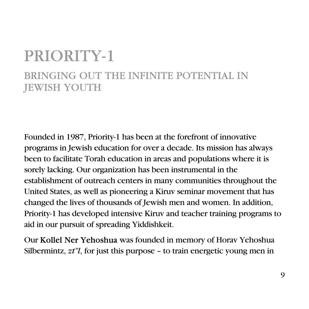# PRIORITY-1 BRINGING OUT THE INFINITE POTENTIAL IN JEWISH YOUTH

Founded in 1987, Priority-1 has been at the forefront of innovative programs in Jewish education for over a decade. Its mission has always been to facilitate Torah education in areas and populations where it is sorely lacking. Our organization has been instrumental in the establishment of outreach centers in many communities throughout the United States, as well as pioneering a Kiruv seminar movement that has changed the lives of thousands of Jewish men and women. In addition, Priority-1 has developed intensive Kiruv and teacher training programs to aid in our pursuit of spreading Yiddishkeit.

Our Kollel Ner Yehoshua was founded in memory of Horav Yehoshua Silbermintz, *zt"l*, for just this purpose – to train energetic young men in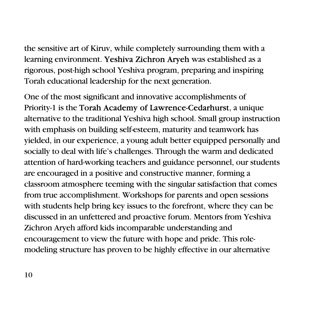the sensitive art of Kiruv, while completely surrounding them with a learning environment. Yeshiva Zichron Aryeh was established as a rigorous, post-high school Yeshiva program, preparing and inspiring Torah educational leadership for the next generation.

One of the most significant and innovative accomplishments of Priority-1 is the Torah Academy of Lawrence-Cedarhurst, a unique alternative to the traditional Yeshiva high school. Small group instruction with emphasis on building self-esteem, maturity and teamwork has yielded, in our experience, a young adult better equipped personally and socially to deal with life's challenges. Through the warm and dedicated attention of hard-working teachers and guidance personnel, our students are encouraged in a positive and constructive manner, forming a classroom atmosphere teeming with the singular satisfaction that comes from true accomplishment. Workshops for parents and open sessions with students help bring key issues to the forefront, where they can be discussed in an unfettered and proactive forum. Mentors from Yeshiva Zichron Aryeh afford kids incomparable understanding and encouragement to view the future with hope and pride. This rolemodeling structure has proven to be highly effective in our alternative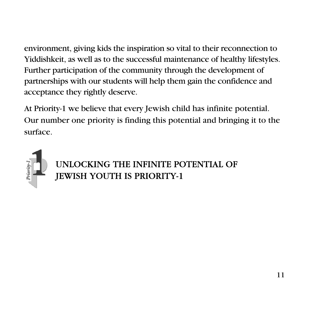environment, giving kids the inspiration so vital to their reconnection to Yiddishkeit, as well as to the successful maintenance of healthy lifestyles. Further participation of the community through the development of partnerships with our students will help them gain the confidence and acceptance they rightly deserve.

At Priority-1 we believe that every Jewish child has infinite potential. Our number one priority is finding this potential and bringing it to the surface.



# UNLOCKING THE INFINITE POTENTIAL OF JEWISH YOUTH IS PRIORITY-1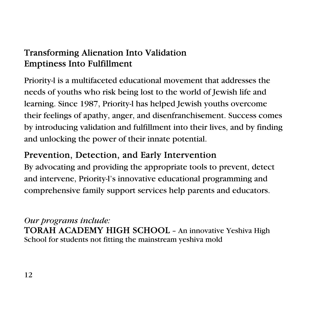# Transforming Alienation Into Validation Emptiness Into Fulfillment

Priority-l is a multifaceted educational movement that addresses the needs of youths who risk being lost to the world of Jewish life and learning. Since 1987, Priority-l has helped Jewish youths overcome their feelings of apathy, anger, and disenfranchisement. Success comes by introducing validation and fulfillment into their lives, and by finding and unlocking the power of their innate potential.

# Prevention, Detection, and Early Intervention

By advocating and providing the appropriate tools to prevent, detect and intervene, Priority-l's innovative educational programming and comprehensive family support services help parents and educators.

### *Our programs include:*

TORAH ACADEMY HIGH SCHOOL – An innovative Yeshiva High School for students not fitting the mainstream yeshiva mold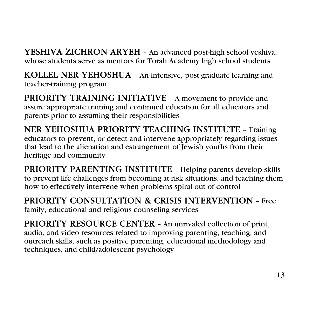YESHIVA ZICHRON ARYEH – An advanced post-high school yeshiva, whose students serve as mentors for Torah Academy high school students

KOLLEL NER YEHOSHUA – An intensive, post-graduate learning and teacher-training program

PRIORITY TRAINING INITIATIVE - A movement to provide and assure appropriate training and continued education for all educators and parents prior to assuming their responsibilities

NER YEHOSHUA PRIORITY TEACHING INSTITUTE – Training educators to prevent, or detect and intervene appropriately regarding issues that lead to the alienation and estrangement of Jewish youths from their heritage and community

PRIORITY PARENTING INSTITUTE – Helping parents develop skills to prevent life challenges from becoming at-risk situations, and teaching them how to effectively intervene when problems spiral out of control

PRIORITY CONSULTATION & CRISIS INTERVENTION – Free family, educational and religious counseling services

PRIORITY RESOURCE CENTER - An unrivaled collection of print, audio, and video resources related to improving parenting, teaching, and outreach skills, such as positive parenting, educational methodology and techniques, and child/adolescent psychology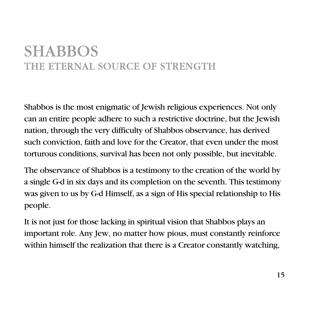# SHABBOS THE ETERNAL SOURCE OF STRENGTH

Shabbos is the most enigmatic of Jewish religious experiences. Not only can an entire people adhere to such a restrictive doctrine, but the Jewish nation, through the very difficulty of Shabbos observance, has derived such conviction, faith and love for the Creator, that even under the most torturous conditions, survival has been not only possible, but inevitable.

The observance of Shabbos is a testimony to the creation of the world by a single G-d in six days and its completion on the seventh. This testimony was given to us by G-d Himself, as a sign of His special relationship to His people.

It is not just for those lacking in spiritual vision that Shabbos plays an important role. Any Jew, no matter how pious, must constantly reinforce within himself the realization that there is a Creator constantly watching,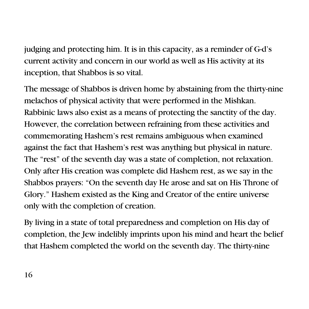judging and protecting him. It is in this capacity, as a reminder of G-d's current activity and concern in our world as well as His activity at its inception, that Shabbos is so vital.

The message of Shabbos is driven home by abstaining from the thirty-nine melachos of physical activity that were performed in the Mishkan. Rabbinic laws also exist as a means of protecting the sanctity of the day. However, the correlation between refraining from these activities and commemorating Hashem's rest remains ambiguous when examined against the fact that Hashem's rest was anything but physical in nature. The "rest" of the seventh day was a state of completion, not relaxation. Only after His creation was complete did Hashem rest, as we say in the Shabbos prayers: "On the seventh day He arose and sat on His Throne of Glory." Hashem existed as the King and Creator of the entire universe only with the completion of creation.

By living in a state of total preparedness and completion on His day of completion, the Jew indelibly imprints upon his mind and heart the belief that Hashem completed the world on the seventh day. The thirty-nine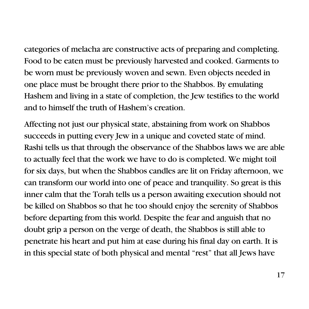categories of melacha are constructive acts of preparing and completing. Food to be eaten must be previously harvested and cooked. Garments to be worn must be previously woven and sewn. Even objects needed in one place must be brought there prior to the Shabbos. By emulating Hashem and living in a state of completion, the Jew testifies to the world and to himself the truth of Hashem's creation.

Affecting not just our physical state, abstaining from work on Shabbos succeeds in putting every Jew in a unique and coveted state of mind. Rashi tells us that through the observance of the Shabbos laws we are able to actually feel that the work we have to do is completed. We might toil for six days, but when the Shabbos candles are lit on Friday afternoon, we can transform our world into one of peace and tranquility. So great is this inner calm that the Torah tells us a person awaiting execution should not be killed on Shabbos so that he too should enjoy the serenity of Shabbos before departing from this world. Despite the fear and anguish that no doubt grip a person on the verge of death, the Shabbos is still able to penetrate his heart and put him at ease during his final day on earth. It is in this special state of both physical and mental "rest" that all Jews have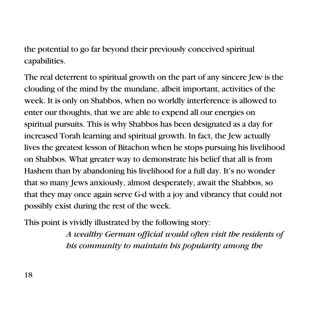the potential to go far beyond their previously conceived spiritual capabilities.

The real deterrent to spiritual growth on the part of any sincere Jew is the clouding of the mind by the mundane, albeit important, activities of the week. It is only on Shabbos, when no worldly interference is allowed to enter our thoughts, that we are able to expend all our energies on spiritual pursuits. This is why Shabbos has been designated as a day for increased Torah learning and spiritual growth. In fact, the Jew actually lives the greatest lesson of Bitachon when he stops pursuing his livelihood on Shabbos. What greater way to demonstrate his belief that all is from Hashem than by abandoning his livelihood for a full day. It's no wonder that so many Jews anxiously, almost desperately, await the Shabbos, so that they may once again serve G-d with a joy and vibrancy that could not possibly exist during the rest of the week.

This point is vividly illustrated by the following story:

*A wealthy German official would often visit the residents of his community to maintain his popularity among the*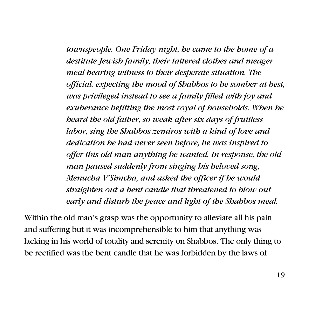*townspeople. One Friday night, he came to the home of a destitute Jewish family, their tattered clothes and meager meal bearing witness to their desperate situation. The official, expecting the mood of Shabbos to be somber at best, was privileged instead to see a family filled with joy and exuberance befitting the most royal of households. When he heard the old father, so weak after six days of fruitless labor, sing the Shabbos zemiros with a kind of love and dedication he had never seen before, he was inspired to offer this old man anything he wanted. In response, the old man paused suddenly from singing his beloved song, Menucha V'Simcha, and asked the officer if he would straighten out a bent candle that threatened to blow out early and disturb the peace and light of the Shabbos meal.*

Within the old man's grasp was the opportunity to alleviate all his pain and suffering but it was incomprehensible to him that anything was lacking in his world of totality and serenity on Shabbos. The only thing to be rectified was the bent candle that he was forbidden by the laws of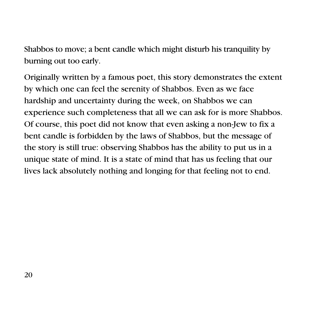Shabbos to move; a bent candle which might disturb his tranquility by burning out too early.

Originally written by a famous poet, this story demonstrates the extent by which one can feel the serenity of Shabbos. Even as we face hardship and uncertainty during the week, on Shabbos we can experience such completeness that all we can ask for is more Shabbos. Of course, this poet did not know that even asking a non-Jew to fix a bent candle is forbidden by the laws of Shabbos, but the message of the story is still true: observing Shabbos has the ability to put us in a unique state of mind. It is a state of mind that has us feeling that our lives lack absolutely nothing and longing for that feeling not to end.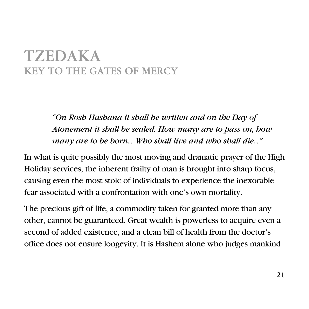# TZEDAKA KEY TO THE GATES OF MERCY

*"On Rosh Hashana it shall be written and on the Day of Atonement it shall be sealed. How many are to pass on, how many are to be born... Who shall live and who shall die..."* 

In what is quite possibly the most moving and dramatic prayer of the High Holiday services, the inherent frailty of man is brought into sharp focus, causing even the most stoic of individuals to experience the inexorable fear associated with a confrontation with one's own mortality.

The precious gift of life, a commodity taken for granted more than any other, cannot be guaranteed. Great wealth is powerless to acquire even a second of added existence, and a clean bill of health from the doctor's office does not ensure longevity. It is Hashem alone who judges mankind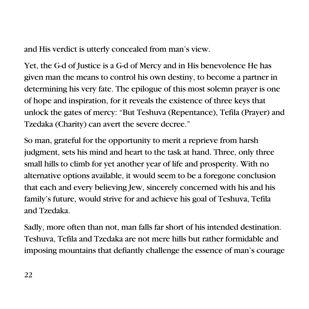and His verdict is utterly concealed from man's view.

Yet, the G-d of Justice is a G-d of Mercy and in His benevolence He has given man the means to control his own destiny, to become a partner in determining his very fate. The epilogue of this most solemn prayer is one of hope and inspiration, for it reveals the existence of three keys that unlock the gates of mercy: "But Teshuva (Repentance), Tefila (Prayer) and Tzedaka (Charity) can avert the severe decree."

So man, grateful for the opportunity to merit a reprieve from harsh judgment, sets his mind and heart to the task at hand. Three, only three small hills to climb for yet another year of life and prosperity. With no alternative options available, it would seem to be a foregone conclusion that each and every believing Jew, sincerely concerned with his and his family's future, would strive for and achieve his goal of Teshuva, Tefila and Tzedaka.

Sadly, more often than not, man falls far short of his intended destination. Teshuva, Tefila and Tzedaka are not mere hills but rather formidable and imposing mountains that defiantly challenge the essence of man's courage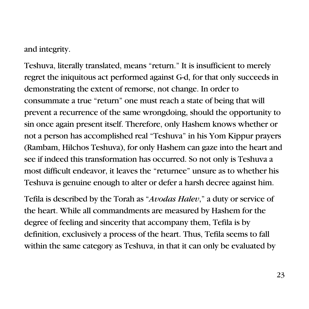and integrity.

Teshuva, literally translated, means "return." It is insufficient to merely regret the iniquitous act performed against G-d, for that only succeeds in demonstrating the extent of remorse, not change. In order to consummate a true "return" one must reach a state of being that will prevent a recurrence of the same wrongdoing, should the opportunity to sin once again present itself. Therefore, only Hashem knows whether or not a person has accomplished real "Teshuva" in his Yom Kippur prayers (Rambam, Hilchos Teshuva), for only Hashem can gaze into the heart and see if indeed this transformation has occurred. So not only is Teshuva a most difficult endeavor, it leaves the "returnee" unsure as to whether his Teshuva is genuine enough to alter or defer a harsh decree against him.

Tefila is described by the Torah as "*Avodas Halev*," a duty or service of the heart. While all commandments are measured by Hashem for the degree of feeling and sincerity that accompany them, Tefila is by definition, exclusively a process of the heart. Thus, Tefila seems to fall within the same category as Teshuva, in that it can only be evaluated by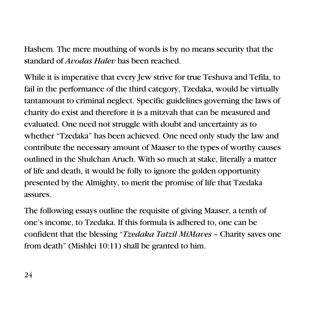Hashem. The mere mouthing of words is by no means security that the standard of *Avodas Halev* has been reached.

While it is imperative that every Jew strive for true Teshuva and Tefila, to fail in the performance of the third category, Tzedaka, would be virtually tantamount to criminal neglect. Specific guidelines governing the laws of charity do exist and therefore it is a mitzvah that can be measured and evaluated. One need not struggle with doubt and uncertainty as to whether "Tzedaka" has been achieved. One need only study the law and contribute the necessary amount of Maaser to the types of worthy causes outlined in the Shulchan Aruch. With so much at stake, literally a matter of life and death, it would be folly to ignore the golden opportunity presented by the Almighty, to merit the promise of life that Tzedaka assures.

The following essays outline the requisite of giving Maaser, a tenth of one's income, to Tzedaka. If this formula is adhered to, one can be confident that the blessing "*Tzedaka Tatzil MiMaves* – Charity saves one from death" (Mishlei 10:11) shall be granted to him.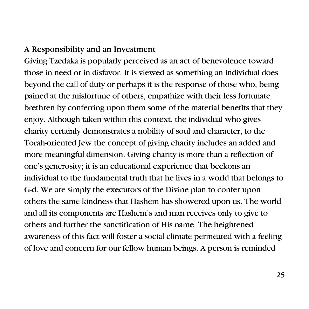#### A Responsibility and an Investment

Giving Tzedaka is popularly perceived as an act of benevolence toward those in need or in disfavor. It is viewed as something an individual does beyond the call of duty or perhaps it is the response of those who, being pained at the misfortune of others, empathize with their less fortunate brethren by conferring upon them some of the material benefits that they enjoy. Although taken within this context, the individual who gives charity certainly demonstrates a nobility of soul and character, to the Torah-oriented Jew the concept of giving charity includes an added and more meaningful dimension. Giving charity is more than a reflection of one's generosity; it is an educational experience that beckons an individual to the fundamental truth that he lives in a world that belongs to G-d. We are simply the executors of the Divine plan to confer upon others the same kindness that Hashem has showered upon us. The world and all its components are Hashem's and man receives only to give to others and further the sanctification of His name. The heightened awareness of this fact will foster a social climate permeated with a feeling of love and concern for our fellow human beings. A person is reminded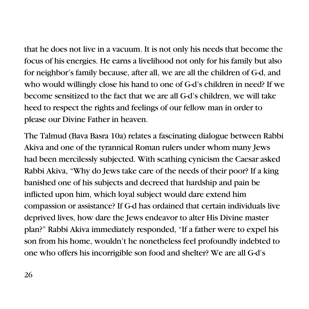that he does not live in a vacuum. It is not only his needs that become the focus of his energies. He earns a livelihood not only for his family but also for neighbor's family because, after all, we are all the children of G-d, and who would willingly close his hand to one of G-d's children in need? If we become sensitized to the fact that we are all G-d's children, we will take heed to respect the rights and feelings of our fellow man in order to please our Divine Father in heaven.

The Talmud (Bava Basra 10a) relates a fascinating dialogue between Rabbi Akiva and one of the tyrannical Roman rulers under whom many Jews had been mercilessly subjected. With scathing cynicism the Caesar asked Rabbi Akiva, "Why do Jews take care of the needs of their poor? If a king banished one of his subjects and decreed that hardship and pain be inflicted upon him, which loyal subject would dare extend him compassion or assistance? If G-d has ordained that certain individuals live deprived lives, how dare the Jews endeavor to alter His Divine master plan?" Rabbi Akiva immediately responded, "If a father were to expel his son from his home, wouldn't he nonetheless feel profoundly indebted to one who offers his incorrigible son food and shelter? We are all G-d's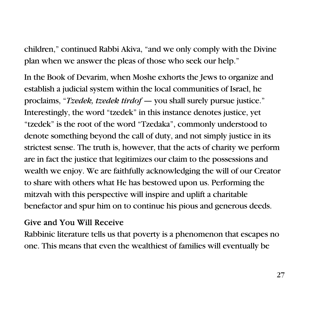children," continued Rabbi Akiva, "and we only comply with the Divine plan when we answer the pleas of those who seek our help."

In the Book of Devarim, when Moshe exhorts the Jews to organize and establish a judicial system within the local communities of Israel, he proclaims, "*Tzedek, tzedek tirdof* — you shall surely pursue justice." Interestingly, the word "tzedek" in this instance denotes justice, yet "tzedek" is the root of the word "Tzedaka", commonly understood to denote something beyond the call of duty, and not simply justice in its strictest sense. The truth is, however, that the acts of charity we perform are in fact the justice that legitimizes our claim to the possessions and wealth we enjoy. We are faithfully acknowledging the will of our Creator to share with others what He has bestowed upon us. Performing the mitzvah with this perspective will inspire and uplift a charitable benefactor and spur him on to continue his pious and generous deeds.

#### Give and You Will Receive

Rabbinic literature tells us that poverty is a phenomenon that escapes no one. This means that even the wealthiest of families will eventually be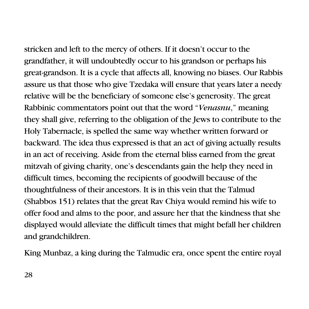stricken and left to the mercy of others. If it doesn't occur to the grandfather, it will undoubtedly occur to his grandson or perhaps his great-grandson. It is a cycle that affects all, knowing no biases. Our Rabbis assure us that those who give Tzedaka will ensure that years later a needy relative will be the beneficiary of someone else's generosity. The great Rabbinic commentators point out that the word "*Venasnu*," meaning they shall give, referring to the obligation of the Jews to contribute to the Holy Tabernacle, is spelled the same way whether written forward or backward. The idea thus expressed is that an act of giving actually results in an act of receiving. Aside from the eternal bliss earned from the great mitzvah of giving charity, one's descendants gain the help they need in difficult times, becoming the recipients of goodwill because of the thoughtfulness of their ancestors. It is in this vein that the Talmud (Shabbos 151) relates that the great Rav Chiya would remind his wife to offer food and alms to the poor, and assure her that the kindness that she displayed would alleviate the difficult times that might befall her children

and grandchildren.

King Munbaz, a king during the Talmudic era, once spent the entire royal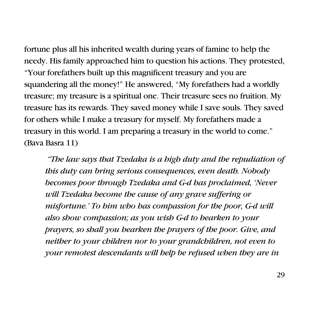fortune plus all his inherited wealth during years of famine to help the needy. His family approached him to question his actions. They protested, "Your forefathers built up this magnificent treasury and you are squandering all the money!" He answered, "My forefathers had a worldly treasure; my treasure is a spiritual one. Their treasure sees no fruition. My treasure has its rewards. They saved money while I save souls. They saved for others while I make a treasury for myself. My forefathers made a treasury in this world. I am preparing a treasury in the world to come." (Bava Basra 11)

 *"The law says that Tzedaka is a high duty and the repudiation of this duty can bring serious consequences, even death. Nobody becomes poor through Tzedaka and G-d has proclaimed, 'Never will Tzedaka become the cause of any grave suffering or misfortune.' To him who has compassion for the poor, G-d will also show compassion; as you wish G-d to hearken to your prayers, so shall you hearken the prayers of the poor. Give, and neither to your children nor to your grandchildren, not even to your remotest descendants will help be refused when they are in*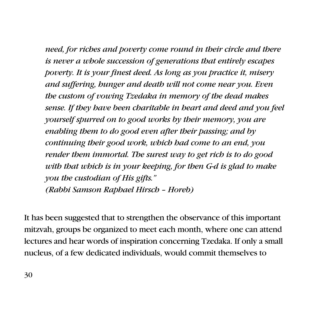*need, for riches and poverty come round in their circle and there is never a whole succession of generations that entirely escapes poverty. It is your finest deed. As long as you practice it, misery and suffering, hunger and death will not come near you. Even the custom of vowing Tzedaka in memory of the dead makes sense. If they have been charitable in heart and deed and you feel yourself spurred on to good works by their memory, you are enabling them to do good even after their passing; and by continuing their good work, which had come to an end, you render them immortal. The surest way to get rich is to do good with that which is in your keeping, for then G-d is glad to make you the custodian of His gifts." (Rabbi Samson Raphael Hirsch – Horeb)* 

It has been suggested that to strengthen the observance of this important mitzvah, groups be organized to meet each month, where one can attend lectures and hear words of inspiration concerning Tzedaka. If only a small nucleus, of a few dedicated individuals, would commit themselves to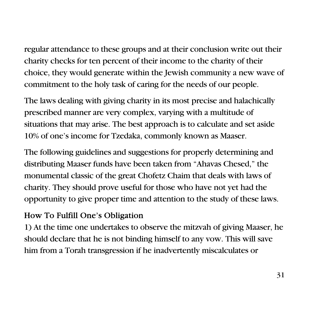regular attendance to these groups and at their conclusion write out their charity checks for ten percent of their income to the charity of their choice, they would generate within the Jewish community a new wave of commitment to the holy task of caring for the needs of our people.

The laws dealing with giving charity in its most precise and halachically prescribed manner are very complex, varying with a multitude of situations that may arise. The best approach is to calculate and set aside 10% of one's income for Tzedaka, commonly known as Maaser.

The following guidelines and suggestions for properly determining and distributing Maaser funds have been taken from "Ahavas Chesed," the monumental classic of the great Chofetz Chaim that deals with laws of charity. They should prove useful for those who have not yet had the opportunity to give proper time and attention to the study of these laws.

### How To Fulfill One's Obligation

1) At the time one undertakes to observe the mitzvah of giving Maaser, he should declare that he is not binding himself to any vow. This will save him from a Torah transgression if he inadvertently miscalculates or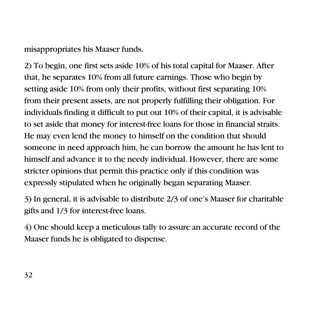misappropriates his Maaser funds.

2) To begin, one first sets aside 10% of his total capital for Maaser. After that, he separates 10% from all future earnings. Those who begin by setting aside 10% from only their profits, without first separating 10% from their present assets, are not properly fulfilling their obligation. For individuals finding it difficult to put out 10% of their capital, it is advisable to set aside that money for interest-free loans for those in financial straits. He may even lend the money to himself on the condition that should someone in need approach him, he can borrow the amount he has lent to himself and advance it to the needy individual. However, there are some stricter opinions that permit this practice only if this condition was expressly stipulated when he originally began separating Maaser.

3) In general, it is advisable to distribute 2/3 of one's Maaser for charitable gifts and 1/3 for interest-free loans.

4) One should keep a meticulous tally to assure an accurate record of the Maaser funds he is obligated to dispense.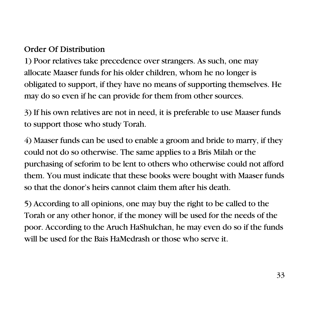### Order Of Distribution

1) Poor relatives take precedence over strangers. As such, one may allocate Maaser funds for his older children, whom he no longer is obligated to support, if they have no means of supporting themselves. He may do so even if he can provide for them from other sources.

3) If his own relatives are not in need, it is preferable to use Maaser funds to support those who study Torah.

4) Maaser funds can be used to enable a groom and bride to marry, if they could not do so otherwise. The same applies to a Bris Milah or the purchasing of seforim to be lent to others who otherwise could not afford them. You must indicate that these books were bought with Maaser funds so that the donor's heirs cannot claim them after his death.

5) According to all opinions, one may buy the right to be called to the Torah or any other honor, if the money will be used for the needs of the poor. According to the Aruch HaShulchan, he may even do so if the funds will be used for the Bais HaMedrash or those who serve it.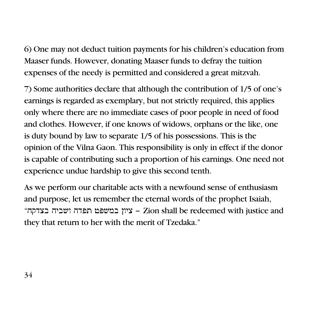6) One may not deduct tuition payments for his children's education from Maaser funds. However, donating Maaser funds to defray the tuition expenses of the needy is permitted and considered a great mitzvah.

7) Some authorities declare that although the contribution of 1/5 of one's earnings is regarded as exemplary, but not strictly required, this applies only where there are no immediate cases of poor people in need of food and clothes. However, if one knows of widows, orphans or the like, one is duty bound by law to separate 1/5 of his possessions. This is the opinion of the Vilna Gaon. This responsibility is only in effect if the donor is capable of contributing such a proportion of his earnings. One need not experience undue hardship to give this second tenth.

As we perform our charitable acts with a newfound sense of enthusiasm and purpose, let us remember the eternal words of the prophet Isaiah, "ציון במשפט תפדה ושביה בצדקה - Zion shall be redeemed with justice and they that return to her with the merit of Tzedaka."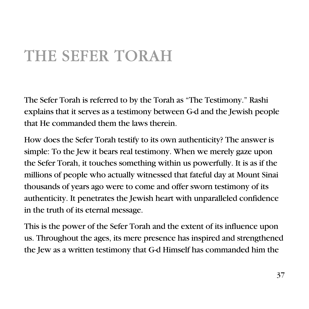## THE SEFER TORAH

The Sefer Torah is referred to by the Torah as "The Testimony." Rashi explains that it serves as a testimony between G-d and the Jewish people that He commanded them the laws therein.

How does the Sefer Torah testify to its own authenticity? The answer is simple: To the Jew it bears real testimony. When we merely gaze upon the Sefer Torah, it touches something within us powerfully. It is as if the millions of people who actually witnessed that fateful day at Mount Sinai thousands of years ago were to come and offer sworn testimony of its authenticity. It penetrates the Jewish heart with unparalleled confidence in the truth of its eternal message.

This is the power of the Sefer Torah and the extent of its influence upon us. Throughout the ages, its mere presence has inspired and strengthened the Jew as a written testimony that G-d Himself has commanded him the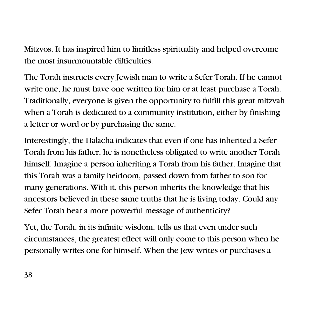Mitzvos. It has inspired him to limitless spirituality and helped overcome the most insurmountable difficulties.

The Torah instructs every Jewish man to write a Sefer Torah. If he cannot write one, he must have one written for him or at least purchase a Torah. Traditionally, everyone is given the opportunity to fulfill this great mitzvah when a Torah is dedicated to a community institution, either by finishing a letter or word or by purchasing the same.

Interestingly, the Halacha indicates that even if one has inherited a Sefer Torah from his father, he is nonetheless obligated to write another Torah himself. Imagine a person inheriting a Torah from his father. Imagine that this Torah was a family heirloom, passed down from father to son for many generations. With it, this person inherits the knowledge that his ancestors believed in these same truths that he is living today. Could any Sefer Torah bear a more powerful message of authenticity?

Yet, the Torah, in its infinite wisdom, tells us that even under such circumstances, the greatest effect will only come to this person when he personally writes one for himself. When the Jew writes or purchases a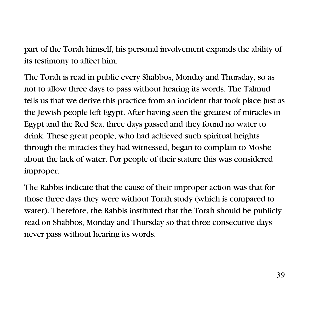part of the Torah himself, his personal involvement expands the ability of its testimony to affect him.

The Torah is read in public every Shabbos, Monday and Thursday, so as not to allow three days to pass without hearing its words. The Talmud tells us that we derive this practice from an incident that took place just as the Jewish people left Egypt. After having seen the greatest of miracles in Egypt and the Red Sea, three days passed and they found no water to drink. These great people, who had achieved such spiritual heights through the miracles they had witnessed, began to complain to Moshe about the lack of water. For people of their stature this was considered improper.

The Rabbis indicate that the cause of their improper action was that for those three days they were without Torah study (which is compared to water). Therefore, the Rabbis instituted that the Torah should be publicly read on Shabbos, Monday and Thursday so that three consecutive days never pass without hearing its words.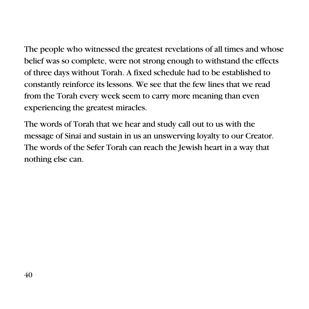The people who witnessed the greatest revelations of all times and whose belief was so complete, were not strong enough to withstand the effects of three days without Torah. A fixed schedule had to be established to constantly reinforce its lessons. We see that the few lines that we read from the Torah every week seem to carry more meaning than even experiencing the greatest miracles.

The words of Torah that we hear and study call out to us with the message of Sinai and sustain in us an unswerving loyalty to our Creator. The words of the Sefer Torah can reach the Jewish heart in a way that nothing else can.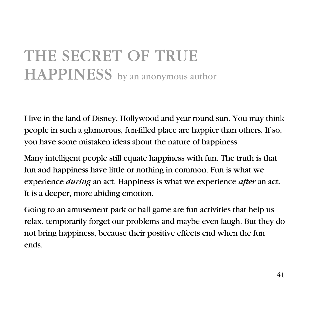## THE SECRET OF TRUE HAPPINESS by an anonymous author

I live in the land of Disney, Hollywood and year-round sun. You may think people in such a glamorous, fun-filled place are happier than others. If so, you have some mistaken ideas about the nature of happiness.

Many intelligent people still equate happiness with fun. The truth is that fun and happiness have little or nothing in common. Fun is what we experience *during* an act. Happiness is what we experience *after* an act. It is a deeper, more abiding emotion.

Going to an amusement park or ball game are fun activities that help us relax, temporarily forget our problems and maybe even laugh. But they do not bring happiness, because their positive effects end when the fun ends.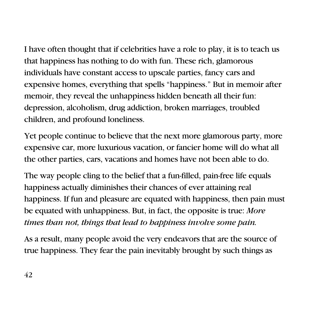I have often thought that if celebrities have a role to play, it is to teach us that happiness has nothing to do with fun. These rich, glamorous individuals have constant access to upscale parties, fancy cars and expensive homes, everything that spells "happiness." But in memoir after memoir, they reveal the unhappiness hidden beneath all their fun: depression, alcoholism, drug addiction, broken marriages, troubled children, and profound loneliness.

Yet people continue to believe that the next more glamorous party, more expensive car, more luxurious vacation, or fancier home will do what all the other parties, cars, vacations and homes have not been able to do.

The way people cling to the belief that a fun-filled, pain-free life equals happiness actually diminishes their chances of ever attaining real happiness. If fun and pleasure are equated with happiness, then pain must be equated with unhappiness. But, in fact, the opposite is true: *More times than not, things that lead to happiness involve some pain.* 

As a result, many people avoid the very endeavors that are the source of true happiness. They fear the pain inevitably brought by such things as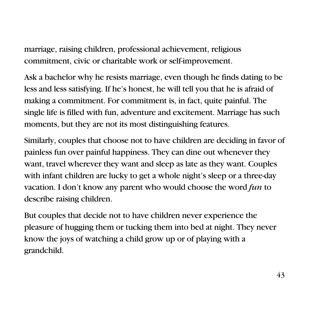marriage, raising children, professional achievement, religious commitment, civic or charitable work or self-improvement.

Ask a bachelor why he resists marriage, even though he finds dating to be less and less satisfying. If he's honest, he will tell you that he is afraid of making a commitment. For commitment is, in fact, quite painful. The single life is filled with fun, adventure and excitement. Marriage has such moments, but they are not its most distinguishing features.

Similarly, couples that choose not to have children are deciding in favor of painless fun over painful happiness. They can dine out whenever they want, travel wherever they want and sleep as late as they want. Couples with infant children are lucky to get a whole night's sleep or a three-day vacation. I don't know any parent who would choose the word *fun* to describe raising children.

But couples that decide not to have children never experience the pleasure of hugging them or tucking them into bed at night. They never know the joys of watching a child grow up or of playing with a grandchild.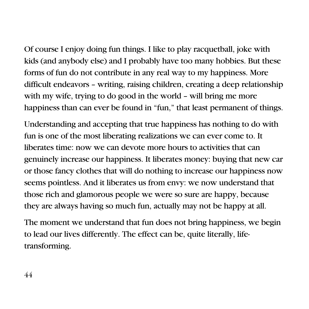Of course I enjoy doing fun things. I like to play racquetball, joke with kids (and anybody else) and I probably have too many hobbies. But these forms of fun do not contribute in any real way to my happiness. More difficult endeavors – writing, raising children, creating a deep relationship with my wife, trying to do good in the world – will bring me more happiness than can ever be found in "fun," that least permanent of things.

Understanding and accepting that true happiness has nothing to do with fun is one of the most liberating realizations we can ever come to. It liberates time: now we can devote more hours to activities that can genuinely increase our happiness. It liberates money: buying that new car or those fancy clothes that will do nothing to increase our happiness now seems pointless. And it liberates us from envy: we now understand that those rich and glamorous people we were so sure are happy, because they are always having so much fun, actually may not be happy at all.

The moment we understand that fun does not bring happiness, we begin to lead our lives differently. The effect can be, quite literally, lifetransforming.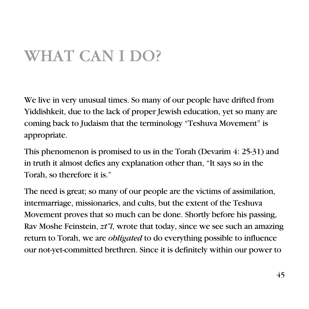## WHAT CAN I DO?

We live in very unusual times. So many of our people have drifted from Yiddishkeit, due to the lack of proper Jewish education, yet so many are coming back to Judaism that the terminology "Teshuva Movement" is appropriate.

This phenomenon is promised to us in the Torah (Devarim 4: 25-31) and in truth it almost defies any explanation other than, "It says so in the Torah, so therefore it is."

The need is great; so many of our people are the victims of assimilation, intermarriage, missionaries, and cults, but the extent of the Teshuva Movement proves that so much can be done. Shortly before his passing, Rav Moshe Feinstein, *zt"l*, wrote that today, since we see such an amazing return to Torah, we are *obligated* to do everything possible to influence our not-yet-committed brethren. Since it is definitely within our power to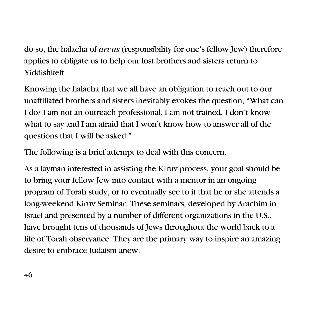do so, the halacha of *arvus* (responsibility for one's fellow Jew) therefore applies to obligate us to help our lost brothers and sisters return to Yiddishkeit.

Knowing the halacha that we all have an obligation to reach out to our unaffiliated brothers and sisters inevitably evokes the question, "What can I do? I am not an outreach professional, I am not trained, I don't know what to say and I am afraid that I won't know how to answer all of the questions that I will be asked."

The following is a brief attempt to deal with this concern.

As a layman interested in assisting the Kiruv process, your goal should be to bring your fellow Jew into contact with a mentor in an ongoing program of Torah study, or to eventually see to it that he or she attends a long-weekend Kiruv Seminar. These seminars, developed by Arachim in Israel and presented by a number of different organizations in the U.S., have brought tens of thousands of Jews throughout the world back to a life of Torah observance. They are the primary way to inspire an amazing desire to embrace Judaism anew.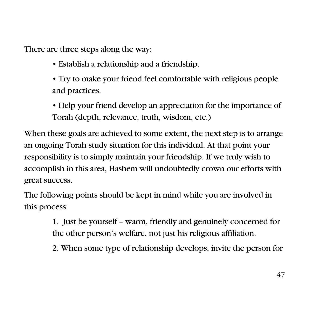There are three steps along the way:

- Establish a relationship and a friendship.
- Try to make your friend feel comfortable with religious people and practices.

• Help your friend develop an appreciation for the importance of Torah (depth, relevance, truth, wisdom, etc.)

When these goals are achieved to some extent, the next step is to arrange an ongoing Torah study situation for this individual. At that point your responsibility is to simply maintain your friendship. If we truly wish to accomplish in this area, Hashem will undoubtedly crown our efforts with great success.

The following points should be kept in mind while you are involved in this process:

> 1. Just be yourself – warm, friendly and genuinely concerned for the other person's welfare, not just his religious affiliation.

> 2. When some type of relationship develops, invite the person for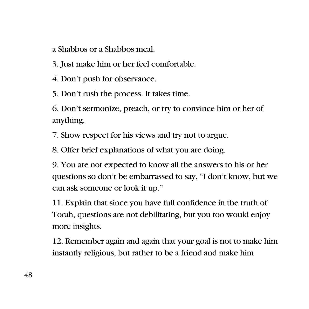a Shabbos or a Shabbos meal.

- 3. Just make him or her feel comfortable.
- 4. Don't push for observance.
- 5. Don't rush the process. It takes time.

6. Don't sermonize, preach, or try to convince him or her of anything.

7. Show respect for his views and try not to argue.

8. Offer brief explanations of what you are doing.

9. You are not expected to know all the answers to his or her questions so don't be embarrassed to say, "I don't know, but we can ask someone or look it up."

11. Explain that since you have full confidence in the truth of Torah, questions are not debilitating, but you too would enjoy more insights.

12. Remember again and again that your goal is not to make him instantly religious, but rather to be a friend and make him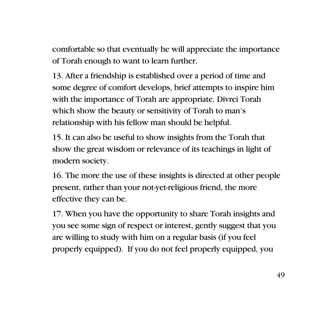comfortable so that eventually he will appreciate the importance of Torah enough to want to learn further.

13. After a friendship is established over a period of time and some degree of comfort develops, brief attempts to inspire him with the importance of Torah are appropriate. Divrei Torah which show the beauty or sensitivity of Torah to man's relationship with his fellow man should be helpful.

15. It can also be useful to show insights from the Torah that show the great wisdom or relevance of its teachings in light of modern society.

16. The more the use of these insights is directed at other people present, rather than your not-yet-religious friend, the more effective they can be.

17. When you have the opportunity to share Torah insights and you see some sign of respect or interest, gently suggest that you are willing to study with him on a regular basis (if you feel properly equipped). If you do not feel properly equipped, you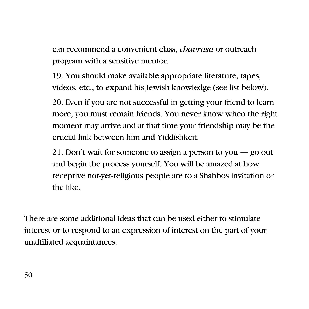can recommend a convenient class, *chavrusa* or outreach program with a sensitive mentor.

19. You should make available appropriate literature, tapes, videos, etc., to expand his Jewish knowledge (see list below).

20. Even if you are not successful in getting your friend to learn more, you must remain friends. You never know when the right moment may arrive and at that time your friendship may be the crucial link between him and Yiddishkeit.

21. Don't wait for someone to assign a person to you — go out and begin the process yourself. You will be amazed at how receptive not-yet-religious people are to a Shabbos invitation or the like.

There are some additional ideas that can be used either to stimulate interest or to respond to an expression of interest on the part of your unaffiliated acquaintances.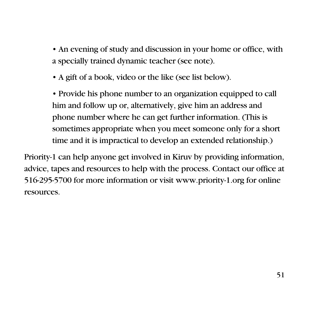• An evening of study and discussion in your home or office, with a specially trained dynamic teacher (see note).

• A gift of a book, video or the like (see list below).

• Provide his phone number to an organization equipped to call him and follow up or, alternatively, give him an address and phone number where he can get further information. (This is sometimes appropriate when you meet someone only for a short time and it is impractical to develop an extended relationship.)

Priority-1 can help anyone get involved in Kiruv by providing information, advice, tapes and resources to help with the process. Contact our office at 516-295-5700 for more information or visit www.priority-1.org for online resources.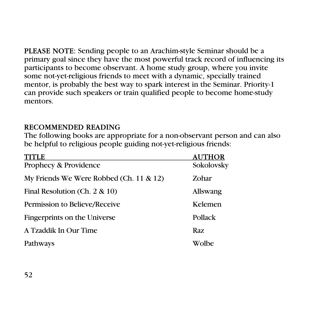PLEASE NOTE: Sending people to an Arachim-style Seminar should be a primary goal since they have the most powerful track record of influencing its participants to become observant. A home study group, where you invite some not-yet-religious friends to meet with a dynamic, specially trained mentor, is probably the best way to spark interest in the Seminar. Priority-1 can provide such speakers or train qualified people to become home-study mentors.

#### RECOMMENDED READING

The following books are appropriate for a non-observant person and can also be helpful to religious people guiding not-yet-religious friends:

| <b>TITLE</b>                                | <b>AUTHOR</b>  |
|---------------------------------------------|----------------|
| Prophecy & Providence                       | Sokolovsky     |
| My Friends We Were Robbed (Ch. $11 \& 12$ ) | Zohar          |
| Final Resolution (Ch. $2 \& 10$ )           | Allswang       |
| Permission to Believe/Receive               | Kelemen        |
| Fingerprints on the Universe                | <b>Pollack</b> |
| A Tzaddik In Our Time                       | Raz            |
| Pathways                                    | Wolbe          |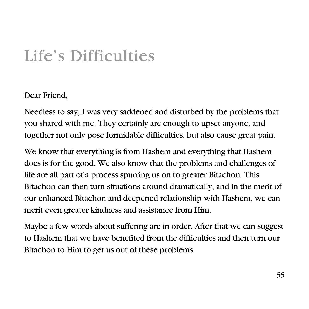### Life's Difficulties

#### Dear Friend,

Needless to say, I was very saddened and disturbed by the problems that you shared with me. They certainly are enough to upset anyone, and together not only pose formidable difficulties, but also cause great pain.

We know that everything is from Hashem and everything that Hashem does is for the good. We also know that the problems and challenges of life are all part of a process spurring us on to greater Bitachon. This Bitachon can then turn situations around dramatically, and in the merit of our enhanced Bitachon and deepened relationship with Hashem, we can merit even greater kindness and assistance from Him.

Maybe a few words about suffering are in order. After that we can suggest to Hashem that we have benefited from the difficulties and then turn our Bitachon to Him to get us out of these problems.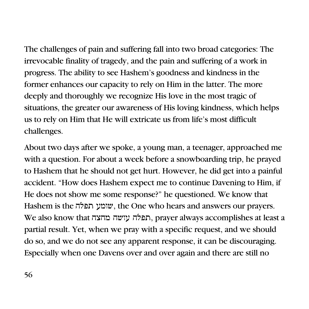The challenges of pain and suffering fall into two broad categories: The irrevocable finality of tragedy, and the pain and suffering of a work in progress. The ability to see Hashem's goodness and kindness in the former enhances our capacity to rely on Him in the latter. The more deeply and thoroughly we recognize His love in the most tragic of situations, the greater our awareness of His loving kindness, which helps us to rely on Him that He will extricate us from life's most difficult challenges.

About two days after we spoke, a young man, a teenager, approached me with a question. For about a week before a snowboarding trip, he prayed to Hashem that he should not get hurt. However, he did get into a painful accident. "How does Hashem expect me to continue Davening to Him, if He does not show me some response?" he questioned. We know that Hashem is the שומע תפלה, the One who hears and answers our prayers. We also know that תפלה עושה מחצה, prayer always accomplishes at least a partial result. Yet, when we pray with a specific request, and we should do so, and we do not see any apparent response, it can be discouraging. Especially when one Davens over and over again and there are still no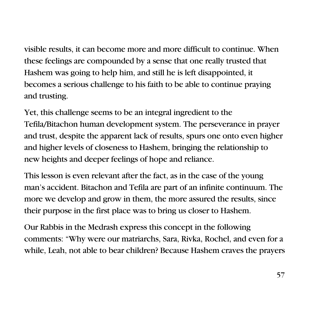visible results, it can become more and more difficult to continue. When these feelings are compounded by a sense that one really trusted that Hashem was going to help him, and still he is left disappointed, it becomes a serious challenge to his faith to be able to continue praying and trusting.

Yet, this challenge seems to be an integral ingredient to the Tefila/Bitachon human development system. The perseverance in prayer and trust, despite the apparent lack of results, spurs one onto even higher and higher levels of closeness to Hashem, bringing the relationship to new heights and deeper feelings of hope and reliance.

This lesson is even relevant after the fact, as in the case of the young man's accident. Bitachon and Tefila are part of an infinite continuum. The more we develop and grow in them, the more assured the results, since their purpose in the first place was to bring us closer to Hashem.

Our Rabbis in the Medrash express this concept in the following comments: "Why were our matriarchs, Sara, Rivka, Rochel, and even for a while, Leah, not able to bear children? Because Hashem craves the prayers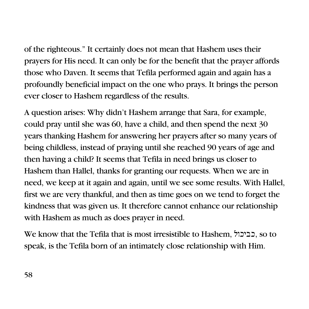of the righteous." It certainly does not mean that Hashem uses their prayers for His need. It can only be for the benefit that the prayer affords those who Daven. It seems that Tefila performed again and again has a profoundly beneficial impact on the one who prays. It brings the person ever closer to Hashem regardless of the results.

A question arises: Why didn't Hashem arrange that Sara, for example, could pray until she was 60, have a child, and then spend the next 30 years thanking Hashem for answering her prayers after so many years of being childless, instead of praying until she reached 90 years of age and then having a child? It seems that Tefila in need brings us closer to Hashem than Hallel, thanks for granting our requests. When we are in need, we keep at it again and again, until we see some results. With Hallel, first we are very thankful, and then as time goes on we tend to forget the kindness that was given us. It therefore cannot enhance our relationship with Hashem as much as does prayer in need.

We know that the Tefila that is most irresistible to Hashem, בביכול, so to speak, is the Tefila born of an intimately close relationship with Him.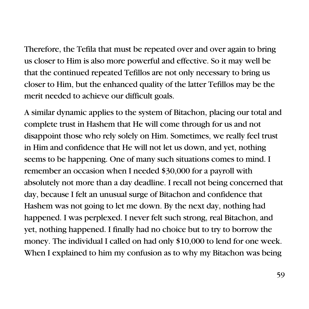Therefore, the Tefila that must be repeated over and over again to bring us closer to Him is also more powerful and effective. So it may well be that the continued repeated Tefillos are not only necessary to bring us closer to Him, but the enhanced quality of the latter Tefillos may be the merit needed to achieve our difficult goals.

A similar dynamic applies to the system of Bitachon, placing our total and complete trust in Hashem that He will come through for us and not disappoint those who rely solely on Him. Sometimes, we really feel trust in Him and confidence that He will not let us down, and yet, nothing seems to be happening. One of many such situations comes to mind. I remember an occasion when I needed \$30,000 for a payroll with absolutely not more than a day deadline. I recall not being concerned that day, because I felt an unusual surge of Bitachon and confidence that Hashem was not going to let me down. By the next day, nothing had happened. I was perplexed. I never felt such strong, real Bitachon, and yet, nothing happened. I finally had no choice but to try to borrow the money. The individual I called on had only \$10,000 to lend for one week. When I explained to him my confusion as to why my Bitachon was being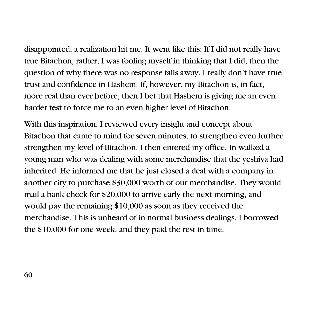disappointed, a realization hit me. It went like this: If I did not really have true Bitachon, rather, I was fooling myself in thinking that I did, then the question of why there was no response falls away. I really don't have true trust and confidence in Hashem. If, however, my Bitachon is, in fact, more real than ever before, then I bet that Hashem is giving me an even harder test to force me to an even higher level of Bitachon.

With this inspiration, I reviewed every insight and concept about Bitachon that came to mind for seven minutes, to strengthen even further strengthen my level of Bitachon. I then entered my office. In walked a young man who was dealing with some merchandise that the yeshiva had inherited. He informed me that he just closed a deal with a company in another city to purchase \$30,000 worth of our merchandise. They would mail a bank check for \$20,000 to arrive early the next morning, and would pay the remaining \$10,000 as soon as they received the merchandise. This is unheard of in normal business dealings. I borrowed the \$10,000 for one week, and they paid the rest in time.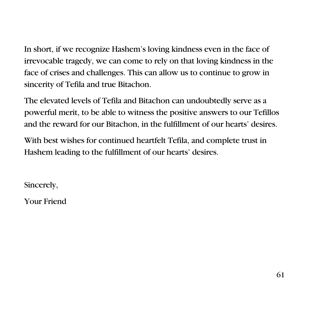In short, if we recognize Hashem's loving kindness even in the face of irrevocable tragedy, we can come to rely on that loving kindness in the face of crises and challenges. This can allow us to continue to grow in sincerity of Tefila and true Bitachon.

The elevated levels of Tefila and Bitachon can undoubtedly serve as a powerful merit, to be able to witness the positive answers to our Tefillos and the reward for our Bitachon, in the fulfillment of our hearts' desires.

With best wishes for continued heartfelt Tefila, and complete trust in Hashem leading to the fulfillment of our hearts' desires.

Sincerely,

Your Friend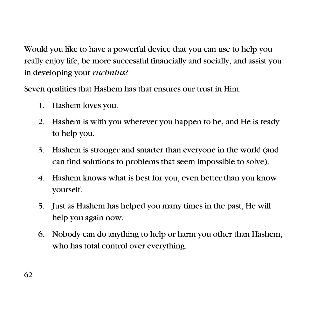Would you like to have a powerful device that you can use to help you really enjoy life, be more successful financially and socially, and assist you in developing your *ruchnius*?

Seven qualities that Hashem has that ensures our trust in Him:

- 1. Hashem loves you.
- 2. Hashem is with you wherever you happen to be, and He is ready to help you.
- 3. Hashem is stronger and smarter than everyone in the world (and can find solutions to problems that seem impossible to solve).
- 4. Hashem knows what is best for you, even better than you know yourself.
- 5. Just as Hashem has helped you many times in the past, He will help you again now.
- 6. Nobody can do anything to help or harm you other than Hashem, who has total control over everything.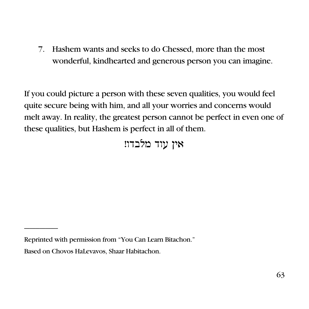7. Hashem wants and seeks to do Chessed, more than the most wonderful, kindhearted and generous person you can imagine.

If you could picture a person with these seven qualities, you would feel quite secure being with him, and all your worries and concerns would melt away. In reality, the greatest person cannot be perfect in even one of these qualities, but Hashem is perfect in all of them.

איז עוד מלבדו!

------------------------

Reprinted with permission from "You Can Learn Bitachon."

Based on Chovos HaLevavos, Shaar Habitachon.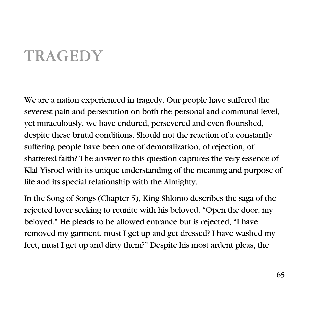# **TRAGEDY**

We are a nation experienced in tragedy. Our people have suffered the severest pain and persecution on both the personal and communal level, yet miraculously, we have endured, persevered and even flourished, despite these brutal conditions. Should not the reaction of a constantly suffering people have been one of demoralization, of rejection, of shattered faith? The answer to this question captures the very essence of Klal Yisroel with its unique understanding of the meaning and purpose of life and its special relationship with the Almighty.

In the Song of Songs (Chapter 5), King Shlomo describes the saga of the rejected lover seeking to reunite with his beloved. "Open the door, my beloved." He pleads to be allowed entrance but is rejected, "I have removed my garment, must I get up and get dressed? I have washed my feet, must I get up and dirty them?" Despite his most ardent pleas, the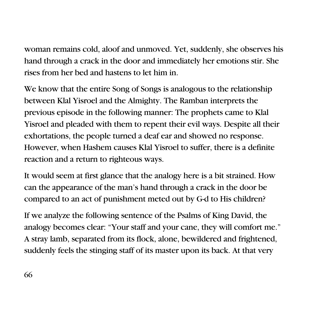woman remains cold, aloof and unmoved. Yet, suddenly, she observes his hand through a crack in the door and immediately her emotions stir. She rises from her bed and hastens to let him in.

We know that the entire Song of Songs is analogous to the relationship between Klal Yisroel and the Almighty. The Ramban interprets the previous episode in the following manner: The prophets came to Klal Yisroel and pleaded with them to repent their evil ways. Despite all their exhortations, the people turned a deaf ear and showed no response. However, when Hashem causes Klal Yisroel to suffer, there is a definite reaction and a return to righteous ways.

It would seem at first glance that the analogy here is a bit strained. How can the appearance of the man's hand through a crack in the door be compared to an act of punishment meted out by G-d to His children?

If we analyze the following sentence of the Psalms of King David, the analogy becomes clear: "Your staff and your cane, they will comfort me." A stray lamb, separated from its flock, alone, bewildered and frightened, suddenly feels the stinging staff of its master upon its back. At that very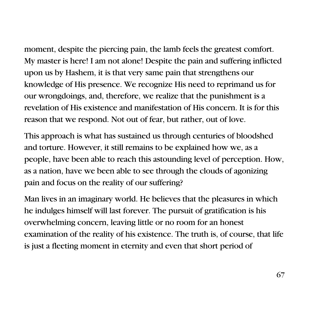moment, despite the piercing pain, the lamb feels the greatest comfort. My master is here! I am not alone! Despite the pain and suffering inflicted upon us by Hashem, it is that very same pain that strengthens our knowledge of His presence. We recognize His need to reprimand us for our wrongdoings, and, therefore, we realize that the punishment is a revelation of His existence and manifestation of His concern. It is for this reason that we respond. Not out of fear, but rather, out of love.

This approach is what has sustained us through centuries of bloodshed and torture. However, it still remains to be explained how we, as a people, have been able to reach this astounding level of perception. How, as a nation, have we been able to see through the clouds of agonizing pain and focus on the reality of our suffering?

Man lives in an imaginary world. He believes that the pleasures in which he indulges himself will last forever. The pursuit of gratification is his overwhelming concern, leaving little or no room for an honest examination of the reality of his existence. The truth is, of course, that life is just a fleeting moment in eternity and even that short period of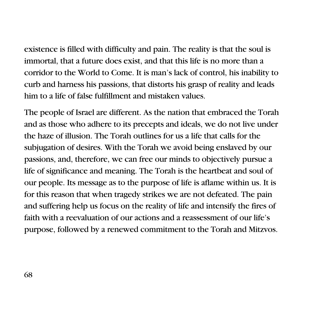existence is filled with difficulty and pain. The reality is that the soul is immortal, that a future does exist, and that this life is no more than a corridor to the World to Come. It is man's lack of control, his inability to curb and harness his passions, that distorts his grasp of reality and leads him to a life of false fulfillment and mistaken values.

The people of Israel are different. As the nation that embraced the Torah and as those who adhere to its precepts and ideals, we do not live under the haze of illusion. The Torah outlines for us a life that calls for the subjugation of desires. With the Torah we avoid being enslaved by our passions, and, therefore, we can free our minds to objectively pursue a life of significance and meaning. The Torah is the heartbeat and soul of our people. Its message as to the purpose of life is aflame within us. It is for this reason that when tragedy strikes we are not defeated. The pain and suffering help us focus on the reality of life and intensify the fires of faith with a reevaluation of our actions and a reassessment of our life's purpose, followed by a renewed commitment to the Torah and Mitzvos.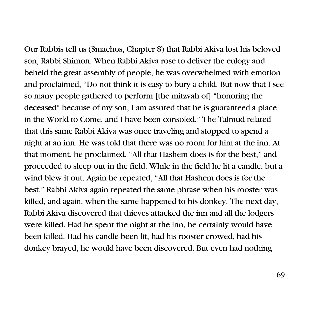Our Rabbis tell us (Smachos, Chapter 8) that Rabbi Akiva lost his beloved son, Rabbi Shimon. When Rabbi Akiva rose to deliver the eulogy and beheld the great assembly of people, he was overwhelmed with emotion and proclaimed, "Do not think it is easy to bury a child. But now that I see so many people gathered to perform [the mitzvah of] "honoring the deceased" because of my son, I am assured that he is guaranteed a place in the World to Come, and I have been consoled." The Talmud related that this same Rabbi Akiva was once traveling and stopped to spend a night at an inn. He was told that there was no room for him at the inn. At that moment, he proclaimed, "All that Hashem does is for the best," and proceeded to sleep out in the field. While in the field he lit a candle, but a wind blew it out. Again he repeated, "All that Hashem does is for the best." Rabbi Akiva again repeated the same phrase when his rooster was killed, and again, when the same happened to his donkey. The next day, Rabbi Akiva discovered that thieves attacked the inn and all the lodgers were killed. Had he spent the night at the inn, he certainly would have been killed. Had his candle been lit, had his rooster crowed, had his donkey brayed, he would have been discovered. But even had nothing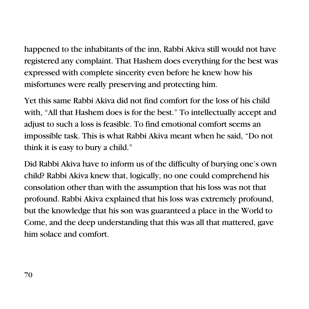happened to the inhabitants of the inn, Rabbi Akiva still would not have registered any complaint. That Hashem does everything for the best was expressed with complete sincerity even before he knew how his misfortunes were really preserving and protecting him.

Yet this same Rabbi Akiva did not find comfort for the loss of his child with, "All that Hashem does is for the best." To intellectually accept and adjust to such a loss is feasible. To find emotional comfort seems an impossible task. This is what Rabbi Akiva meant when he said, "Do not think it is easy to bury a child."

Did Rabbi Akiva have to inform us of the difficulty of burying one's own child? Rabbi Akiva knew that, logically, no one could comprehend his consolation other than with the assumption that his loss was not that profound. Rabbi Akiva explained that his loss was extremely profound, but the knowledge that his son was guaranteed a place in the World to Come, and the deep understanding that this was all that mattered, gave him solace and comfort.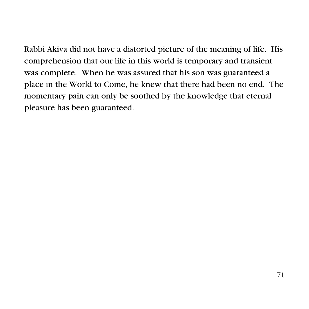Rabbi Akiva did not have a distorted picture of the meaning of life. His comprehension that our life in this world is temporary and transient was complete. When he was assured that his son was guaranteed a place in the World to Come, he knew that there had been no end. The momentary pain can only be soothed by the knowledge that eternal pleasure has been guaranteed.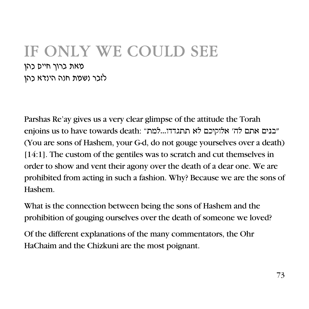## IF ONLY WE COULD SEE מאת כרוך חיים כהן לזכר נשמת חנה הינדא כהן

Parshas Re'ay gives us a very clear glimpse of the attitude the Torah enjoins us to have towards death: "בנים אתם לה' אלוקיכם לא תתגדדו...למת (You are sons of Hashem, your G-d, do not gouge yourselves over a death) [14:1]. The custom of the gentiles was to scratch and cut themselves in order to show and vent their agony over the death of a dear one. We are prohibited from acting in such a fashion. Why? Because we are the sons of Hashem.

What is the connection between being the sons of Hashem and the prohibition of gouging ourselves over the death of someone we loved?

Of the different explanations of the many commentators, the Ohr HaChaim and the Chizkuni are the most poignant.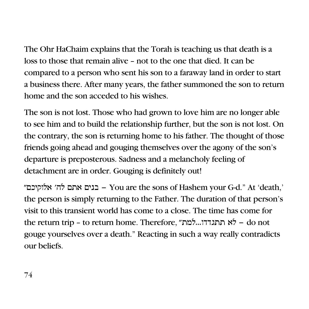The Ohr HaChaim explains that the Torah is teaching us that death is a loss to those that remain alive – not to the one that died. It can be compared to a person who sent his son to a faraway land in order to start a business there. After many years, the father summoned the son to return home and the son acceded to his wishes.

The son is not lost. Those who had grown to love him are no longer able to see him and to build the relationship further, but the son is not lost. On the contrary, the son is returning home to his father. The thought of those friends going ahead and gouging themselves over the agony of the son's departure is preposterous. Sadness and a melancholy feeling of detachment are in order. Gouging is definitely out!

שנעם" – You are the sons of Hashem your G-d." At 'death,' the person is simply returning to the Father. The duration of that person's visit to this transient world has come to a close. The time has come for the return trip – to return home. Therefore, "התגדדו...למת" gouge yourselves over a death." Reacting in such a way really contradicts our beliefs.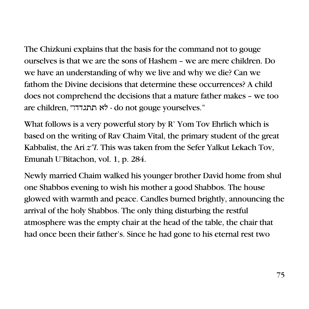The Chizkuni explains that the basis for the command not to gouge ourselves is that we are the sons of Hashem – we are mere children. Do we have an understanding of why we live and why we die? Can we fathom the Divine decisions that determine these occurrences? A child does not comprehend the decisions that a mature father makes – we too are children, "תתגדדו" - do not gouge yourselves."

What follows is a very powerful story by R' Yom Tov Ehrlich which is based on the writing of Rav Chaim Vital, the primary student of the great Kabbalist, the Ari *z"l*. This was taken from the Sefer Yalkut Lekach Tov, Emunah U'Bitachon, vol. 1, p. 284.

Newly married Chaim walked his younger brother David home from shul one Shabbos evening to wish his mother a good Shabbos. The house glowed with warmth and peace. Candles burned brightly, announcing the arrival of the holy Shabbos. The only thing disturbing the restful atmosphere was the empty chair at the head of the table, the chair that had once been their father's. Since he had gone to his eternal rest two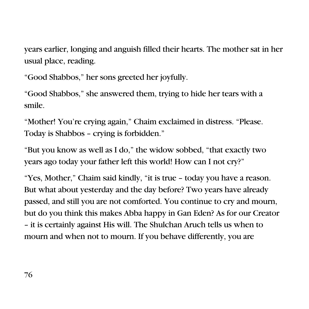years earlier, longing and anguish filled their hearts. The mother sat in her usual place, reading.

"Good Shabbos," her sons greeted her joyfully.

"Good Shabbos," she answered them, trying to hide her tears with a smile.

"Mother! You're crying again," Chaim exclaimed in distress. "Please. Today is Shabbos – crying is forbidden."

"But you know as well as I do," the widow sobbed, "that exactly two years ago today your father left this world! How can I not cry?"

"Yes, Mother," Chaim said kindly, "it is true – today you have a reason. But what about yesterday and the day before? Two years have already passed, and still you are not comforted. You continue to cry and mourn, but do you think this makes Abba happy in Gan Eden? As for our Creator – it is certainly against His will. The Shulchan Aruch tells us when to mourn and when not to mourn. If you behave differently, you are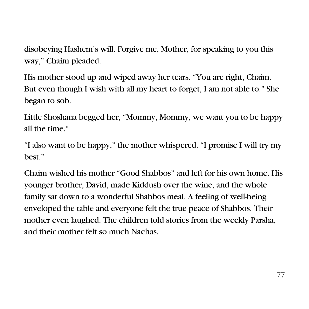disobeying Hashem's will. Forgive me, Mother, for speaking to you this way," Chaim pleaded.

His mother stood up and wiped away her tears. "You are right, Chaim. But even though I wish with all my heart to forget, I am not able to." She began to sob.

Little Shoshana begged her, "Mommy, Mommy, we want you to be happy all the time."

"I also want to be happy," the mother whispered. "I promise I will try my best."

Chaim wished his mother "Good Shabbos" and left for his own home. His younger brother, David, made Kiddush over the wine, and the whole family sat down to a wonderful Shabbos meal. A feeling of well-being enveloped the table and everyone felt the true peace of Shabbos. Their mother even laughed. The children told stories from the weekly Parsha, and their mother felt so much Nachas.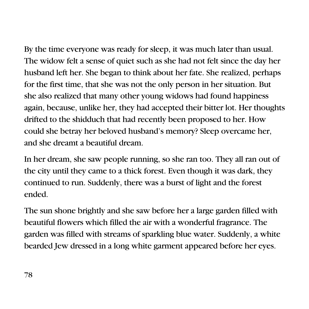By the time everyone was ready for sleep, it was much later than usual. The widow felt a sense of quiet such as she had not felt since the day her husband left her. She began to think about her fate. She realized, perhaps for the first time, that she was not the only person in her situation. But she also realized that many other young widows had found happiness again, because, unlike her, they had accepted their bitter lot. Her thoughts drifted to the shidduch that had recently been proposed to her. How could she betray her beloved husband's memory? Sleep overcame her, and she dreamt a beautiful dream.

In her dream, she saw people running, so she ran too. They all ran out of the city until they came to a thick forest. Even though it was dark, they continued to run. Suddenly, there was a burst of light and the forest ended.

The sun shone brightly and she saw before her a large garden filled with beautiful flowers which filled the air with a wonderful fragrance. The garden was filled with streams of sparkling blue water. Suddenly, a white bearded Jew dressed in a long white garment appeared before her eyes.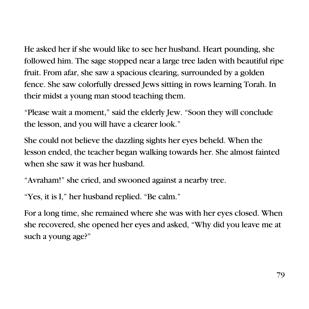He asked her if she would like to see her husband. Heart pounding, she followed him. The sage stopped near a large tree laden with beautiful ripe fruit. From afar, she saw a spacious clearing, surrounded by a golden fence. She saw colorfully dressed Jews sitting in rows learning Torah. In their midst a young man stood teaching them.

"Please wait a moment," said the elderly Jew. "Soon they will conclude the lesson, and you will have a clearer look."

She could not believe the dazzling sights her eyes beheld. When the lesson ended, the teacher began walking towards her. She almost fainted when she saw it was her husband.

"Avraham!" she cried, and swooned against a nearby tree.

"Yes, it is I," her husband replied. "Be calm."

For a long time, she remained where she was with her eyes closed. When she recovered, she opened her eyes and asked, "Why did you leave me at such a young age?"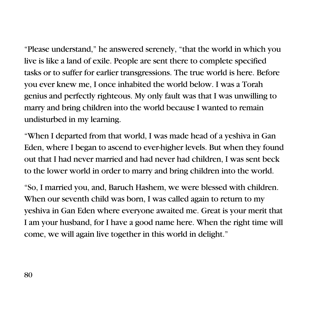"Please understand," he answered serenely, "that the world in which you live is like a land of exile. People are sent there to complete specified tasks or to suffer for earlier transgressions. The true world is here. Before you ever knew me, I once inhabited the world below. I was a Torah genius and perfectly righteous. My only fault was that I was unwilling to marry and bring children into the world because I wanted to remain undisturbed in my learning.

"When I departed from that world, I was made head of a yeshiva in Gan Eden, where I began to ascend to ever-higher levels. But when they found out that I had never married and had never had children, I was sent beck to the lower world in order to marry and bring children into the world.

"So, I married you, and, Baruch Hashem, we were blessed with children. When our seventh child was born, I was called again to return to my yeshiva in Gan Eden where everyone awaited me. Great is your merit that I am your husband, for I have a good name here. When the right time will come, we will again live together in this world in delight."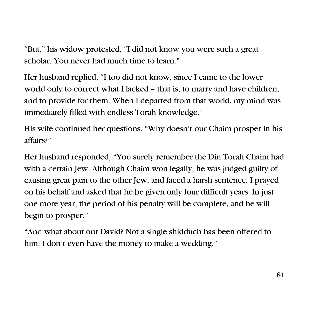"But," his widow protested, "I did not know you were such a great scholar. You never had much time to learn."

Her husband replied, "I too did not know, since I came to the lower world only to correct what I lacked – that is, to marry and have children, and to provide for them. When I departed from that world, my mind was immediately filled with endless Torah knowledge."

His wife continued her questions. "Why doesn't our Chaim prosper in his affairs?"

Her husband responded, "You surely remember the Din Torah Chaim had with a certain Jew. Although Chaim won legally, he was judged guilty of causing great pain to the other Jew, and faced a harsh sentence. I prayed on his behalf and asked that he be given only four difficult years. In just one more year, the period of his penalty will be complete, and he will begin to prosper."

"And what about our David? Not a single shidduch has been offered to him. I don't even have the money to make a wedding."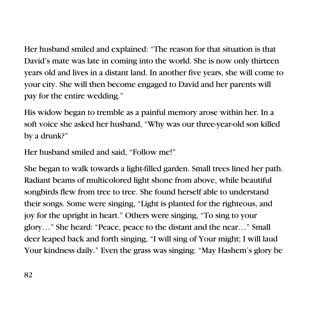Her husband smiled and explained: "The reason for that situation is that David's mate was late in coming into the world. She is now only thirteen years old and lives in a distant land. In another five years, she will come to your city. She will then become engaged to David and her parents will pay for the entire wedding."

His widow began to tremble as a painful memory arose within her. In a soft voice she asked her husband, "Why was our three-year-old son killed by a drunk?"

Her husband smiled and said, "Follow me!"

She began to walk towards a light-filled garden. Small trees lined her path. Radiant beams of multicolored light shone from above, while beautiful songbirds flew from tree to tree. She found herself able to understand their songs. Some were singing, "Light is planted for the righteous, and joy for the upright in heart." Others were singing, "To sing to your glory…" She heard: "Peace, peace to the distant and the near…" Small deer leaped back and forth singing, "I will sing of Your might; I will laud Your kindness daily." Even the grass was singing: "May Hashem's glory be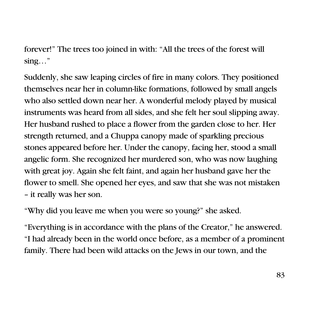forever!" The trees too joined in with: "All the trees of the forest will sing…"

Suddenly, she saw leaping circles of fire in many colors. They positioned themselves near her in column-like formations, followed by small angels who also settled down near her. A wonderful melody played by musical instruments was heard from all sides, and she felt her soul slipping away. Her husband rushed to place a flower from the garden close to her. Her strength returned, and a Chuppa canopy made of sparkling precious stones appeared before her. Under the canopy, facing her, stood a small angelic form. She recognized her murdered son, who was now laughing with great joy. Again she felt faint, and again her husband gave her the flower to smell. She opened her eyes, and saw that she was not mistaken – it really was her son.

"Why did you leave me when you were so young?" she asked.

"Everything is in accordance with the plans of the Creator," he answered. "I had already been in the world once before, as a member of a prominent family. There had been wild attacks on the Jews in our town, and the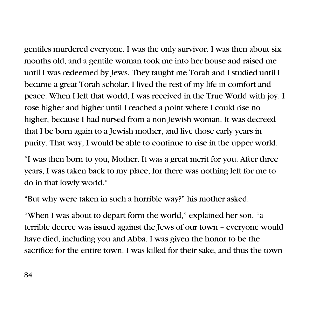gentiles murdered everyone. I was the only survivor. I was then about six months old, and a gentile woman took me into her house and raised me until I was redeemed by Jews. They taught me Torah and I studied until I became a great Torah scholar. I lived the rest of my life in comfort and peace. When I left that world, I was received in the True World with joy. I rose higher and higher until I reached a point where I could rise no higher, because I had nursed from a non-Jewish woman. It was decreed that I be born again to a Jewish mother, and live those early years in purity. That way, I would be able to continue to rise in the upper world.

"I was then born to you, Mother. It was a great merit for you. After three years, I was taken back to my place, for there was nothing left for me to do in that lowly world."

"But why were taken in such a horrible way?" his mother asked.

"When I was about to depart form the world," explained her son, "a terrible decree was issued against the Jews of our town – everyone would have died, including you and Abba. I was given the honor to be the sacrifice for the entire town. I was killed for their sake, and thus the town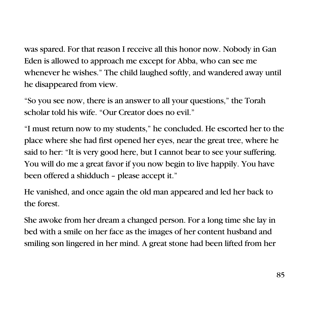was spared. For that reason I receive all this honor now. Nobody in Gan Eden is allowed to approach me except for Abba, who can see me whenever he wishes." The child laughed softly, and wandered away until he disappeared from view.

"So you see now, there is an answer to all your questions," the Torah scholar told his wife. "Our Creator does no evil."

"I must return now to my students," he concluded. He escorted her to the place where she had first opened her eyes, near the great tree, where he said to her: "It is very good here, but I cannot bear to see your suffering. You will do me a great favor if you now begin to live happily. You have been offered a shidduch – please accept it."

He vanished, and once again the old man appeared and led her back to the forest.

She awoke from her dream a changed person. For a long time she lay in bed with a smile on her face as the images of her content husband and smiling son lingered in her mind. A great stone had been lifted from her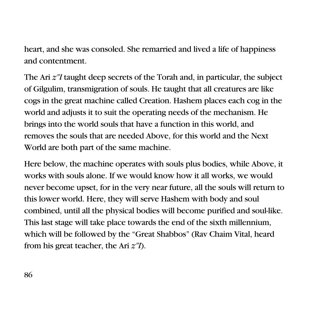heart, and she was consoled. She remarried and lived a life of happiness and contentment.

The Ari *z"l* taught deep secrets of the Torah and, in particular, the subject of Gilgulim, transmigration of souls. He taught that all creatures are like cogs in the great machine called Creation. Hashem places each cog in the world and adjusts it to suit the operating needs of the mechanism. He brings into the world souls that have a function in this world, and removes the souls that are needed Above, for this world and the Next World are both part of the same machine.

Here below, the machine operates with souls plus bodies, while Above, it works with souls alone. If we would know how it all works, we would never become upset, for in the very near future, all the souls will return to this lower world. Here, they will serve Hashem with body and soul combined, until all the physical bodies will become purified and soul-like. This last stage will take place towards the end of the sixth millennium, which will be followed by the "Great Shabbos" (Rav Chaim Vital, heard from his great teacher, the Ari *z"l*).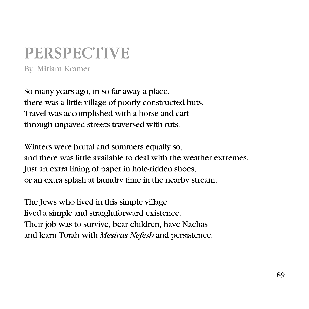## PERSPECTIVE

By: Miriam Kramer

So many years ago, in so far away a place, there was a little village of poorly constructed huts. Travel was accomplished with a horse and cart through unpaved streets traversed with ruts.

Winters were brutal and summers equally so, and there was little available to deal with the weather extremes. Just an extra lining of paper in hole-ridden shoes, or an extra splash at laundry time in the nearby stream.

The Jews who lived in this simple village lived a simple and straightforward existence. Their job was to survive, bear children, have Nachas and learn Torah with *Mesiras Nefesh* and persistence.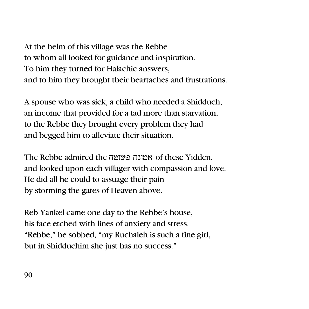At the helm of this village was the Rebbe to whom all looked for guidance and inspiration. To him they turned for Halachic answers, and to him they brought their heartaches and frustrations.

A spouse who was sick, a child who needed a Shidduch, an income that provided for a tad more than starvation, to the Rebbe they brought every problem they had and begged him to alleviate their situation.

The Rebbe admired the שונה פשומה of these Yidden. and looked upon each villager with compassion and love. He did all he could to assuage their pain by storming the gates of Heaven above.

Reb Yankel came one day to the Rebbe's house, his face etched with lines of anxiety and stress. "Rebbe," he sobbed, "my Ruchaleh is such a fine girl, but in Shidduchim she just has no success."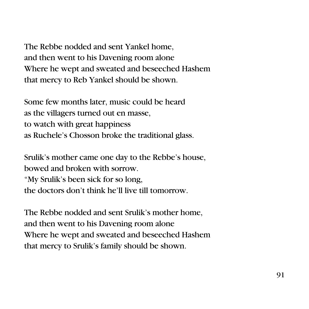The Rebbe nodded and sent Yankel home, and then went to his Davening room alone Where he wept and sweated and beseeched Hashem that mercy to Reb Yankel should be shown.

Some few months later, music could be heard as the villagers turned out en masse, to watch with great happiness as Ruchele's Chosson broke the traditional glass.

Srulik's mother came one day to the Rebbe's house, bowed and broken with sorrow. "My Srulik's been sick for so long, the doctors don't think he'll live till tomorrow.

The Rebbe nodded and sent Srulik's mother home, and then went to his Davening room alone Where he wept and sweated and beseeched Hashem that mercy to Srulik's family should be shown.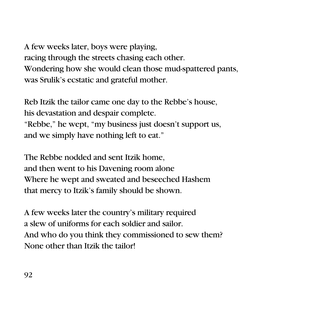A few weeks later, boys were playing, racing through the streets chasing each other. Wondering how she would clean those mud-spattered pants, was Srulik's ecstatic and grateful mother.

Reb Itzik the tailor came one day to the Rebbe's house, his devastation and despair complete. "Rebbe," he wept, "my business just doesn't support us, and we simply have nothing left to eat."

The Rebbe nodded and sent Itzik home, and then went to his Davening room alone Where he wept and sweated and beseeched Hashem that mercy to Itzik's family should be shown.

A few weeks later the country's military required a slew of uniforms for each soldier and sailor. And who do you think they commissioned to sew them? None other than Itzik the tailor!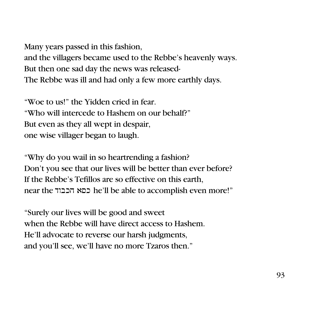Many years passed in this fashion,

and the villagers became used to the Rebbe's heavenly ways. But then one sad day the news was released-The Rebbe was ill and had only a few more earthly days.

"Woe to us!" the Yidden cried in fear. "Who will intercede to Hashem on our behalf?" But even as they all wept in despair, one wise villager began to laugh.

"Why do you wail in so heartrending a fashion? Don't you see that our lives will be better than ever before? If the Rebbe's Tefillos are so effective on this earth, near the כםא הכבוד he'll be able to accomplish even more!"

"Surely our lives will be good and sweet when the Rebbe will have direct access to Hashem. He'll advocate to reverse our harsh judgments, and you'll see, we'll have no more Tzaros then."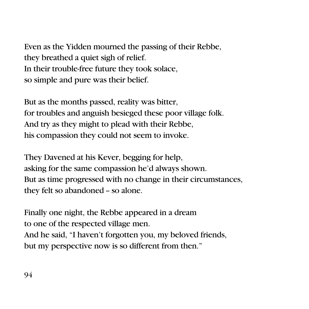Even as the Yidden mourned the passing of their Rebbe, they breathed a quiet sigh of relief. In their trouble-free future they took solace, so simple and pure was their belief.

But as the months passed, reality was bitter, for troubles and anguish besieged these poor village folk. And try as they might to plead with their Rebbe, his compassion they could not seem to invoke.

They Davened at his Kever, begging for help, asking for the same compassion he'd always shown. But as time progressed with no change in their circumstances, they felt so abandoned - so alone.

Finally one night, the Rebbe appeared in a dream to one of the respected village men. And he said, "I haven't forgotten you, my beloved friends, but my perspective now is so different from then."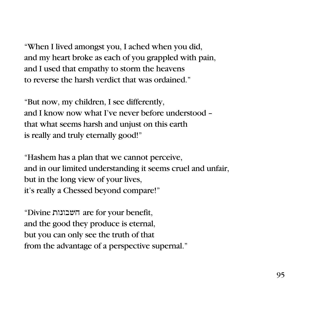"When I lived amongst you, I ached when you did, and my heart broke as each of you grappled with pain, and I used that empathy to storm the heavens to reverse the harsh verdict that was ordained."

"But now, my children, I see differently, and I know now what I've never before understood – that what seems harsh and unjust on this earth is really and truly eternally good!"

"Hashem has a plan that we cannot perceive, and in our limited understanding it seems cruel and unfair, but in the long view of your lives, it's really a Chessed beyond compare!"

"Divine השבונות are for your benefit, and the good they produce is eternal, but you can only see the truth of that from the advantage of a perspective supernal."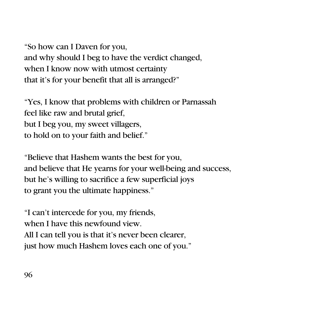"So how can I Daven for you, and why should I beg to have the verdict changed, when I know now with utmost certainty that it's for your benefit that all is arranged?"

"Yes, I know that problems with children or Parnassah feel like raw and brutal grief, but I beg you, my sweet villagers, to hold on to your faith and belief."

"Believe that Hashem wants the best for you, and believe that He yearns for your well-being and success, but he's willing to sacrifice a few superficial joys to grant you the ultimate happiness."

"I can't intercede for you, my friends, when I have this newfound view. All I can tell you is that it's never been clearer, just how much Hashem loves each one of you."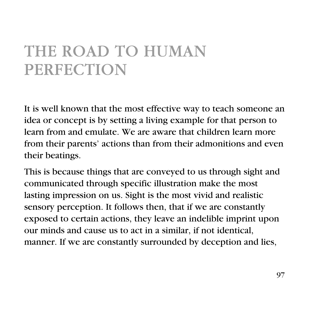## THE ROAD TO HUMAN PERFECTION

It is well known that the most effective way to teach someone an idea or concept is by setting a living example for that person to learn from and emulate. We are aware that children learn more from their parents' actions than from their admonitions and even their beatings.

This is because things that are conveyed to us through sight and communicated through specific illustration make the most lasting impression on us. Sight is the most vivid and realistic sensory perception. It follows then, that if we are constantly exposed to certain actions, they leave an indelible imprint upon our minds and cause us to act in a similar, if not identical, manner. If we are constantly surrounded by deception and lies,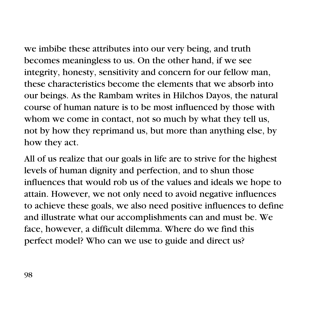we imbibe these attributes into our very being, and truth becomes meaningless to us. On the other hand, if we see integrity, honesty, sensitivity and concern for our fellow man, these characteristics become the elements that we absorb into our beings. As the Rambam writes in Hilchos Dayos, the natural course of human nature is to be most influenced by those with whom we come in contact, not so much by what they tell us, not by how they reprimand us, but more than anything else, by how they act.

All of us realize that our goals in life are to strive for the highest levels of human dignity and perfection, and to shun those influences that would rob us of the values and ideals we hope to attain. However, we not only need to avoid negative influences to achieve these goals, we also need positive influences to define and illustrate what our accomplishments can and must be. We face, however, a difficult dilemma. Where do we find this perfect model? Who can we use to guide and direct us?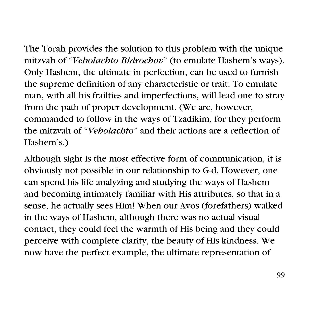The Torah provides the solution to this problem with the unique mitzvah of "*Veholachto Bidrochov*" (to emulate Hashem's ways). Only Hashem, the ultimate in perfection, can be used to furnish the supreme definition of any characteristic or trait. To emulate man, with all his frailties and imperfections, will lead one to stray from the path of proper development. (We are, however, commanded to follow in the ways of Tzadikim, for they perform the mitzvah of "*Veholachto*" and their actions are a reflection of Hashem's.)

Although sight is the most effective form of communication, it is obviously not possible in our relationship to G-d. However, one can spend his life analyzing and studying the ways of Hashem and becoming intimately familiar with His attributes, so that in a sense, he actually sees Him! When our Avos (forefathers) walked in the ways of Hashem, although there was no actual visual contact, they could feel the warmth of His being and they could perceive with complete clarity, the beauty of His kindness. We now have the perfect example, the ultimate representation of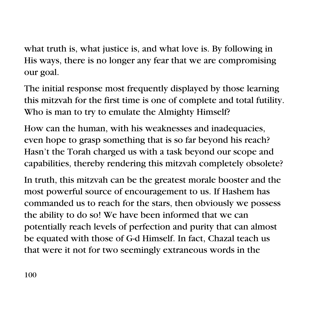what truth is, what justice is, and what love is. By following in His ways, there is no longer any fear that we are compromising our goal.

The initial response most frequently displayed by those learning this mitzvah for the first time is one of complete and total futility. Who is man to try to emulate the Almighty Himself?

How can the human, with his weaknesses and inadequacies, even hope to grasp something that is so far beyond his reach? Hasn't the Torah charged us with a task beyond our scope and capabilities, thereby rendering this mitzvah completely obsolete?

In truth, this mitzvah can be the greatest morale booster and the most powerful source of encouragement to us. If Hashem has commanded us to reach for the stars, then obviously we possess the ability to do so! We have been informed that we can potentially reach levels of perfection and purity that can almost be equated with those of G-d Himself. In fact, Chazal teach us that were it not for two seemingly extraneous words in the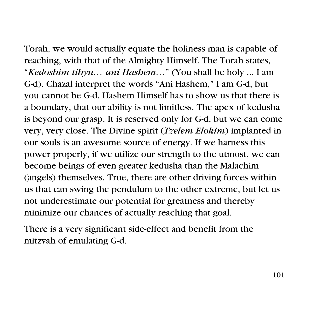Torah, we would actually equate the holiness man is capable of reaching, with that of the Almighty Himself. The Torah states, "*Kedoshim tihyu… ani Hashem…*" (You shall be holy ... I am G-d). Chazal interpret the words "Ani Hashem," I am G-d, but you cannot be G-d. Hashem Himself has to show us that there is a boundary, that our ability is not limitless. The apex of kedusha is beyond our grasp. It is reserved only for G-d, but we can come very, very close. The Divine spirit (*Tzelem Elokim*) implanted in our souls is an awesome source of energy. If we harness this power properly, if we utilize our strength to the utmost, we can become beings of even greater kedusha than the Malachim (angels) themselves. True, there are other driving forces within us that can swing the pendulum to the other extreme, but let us not underestimate our potential for greatness and thereby minimize our chances of actually reaching that goal.

There is a very significant side-effect and benefit from the mitzvah of emulating G-d.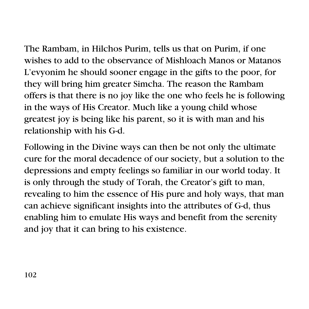The Rambam, in Hilchos Purim, tells us that on Purim, if one wishes to add to the observance of Mishloach Manos or Matanos L'evyonim he should sooner engage in the gifts to the poor, for they will bring him greater Simcha. The reason the Rambam offers is that there is no joy like the one who feels he is following in the ways of His Creator. Much like a young child whose greatest joy is being like his parent, so it is with man and his relationship with his G-d.

Following in the Divine ways can then be not only the ultimate cure for the moral decadence of our society, but a solution to the depressions and empty feelings so familiar in our world today. It is only through the study of Torah, the Creator's gift to man, revealing to him the essence of His pure and holy ways, that man can achieve significant insights into the attributes of G-d, thus enabling him to emulate His ways and benefit from the serenity and joy that it can bring to his existence.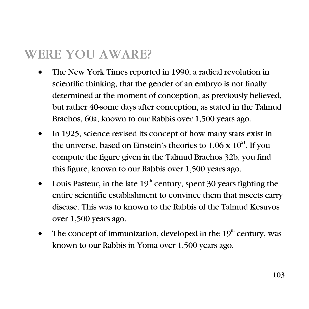## WERE YOU AWARE?

- The New York Times reported in 1990, a radical revolution in scientific thinking, that the gender of an embryo is not finally determined at the moment of conception, as previously believed, but rather 40-some days after conception, as stated in the Talmud Brachos, 60a, known to our Rabbis over 1,500 years ago.
- In 1925, science revised its concept of how many stars exist in the universe, based on Einstein's theories to  $1.06 \times 10^{21}$ . If you compute the figure given in the Talmud Brachos 32b, you find this figure, known to our Rabbis over 1,500 years ago.
- Louis Pasteur, in the late  $19<sup>th</sup>$  century, spent 30 years fighting the entire scientific establishment to convince them that insects carry disease. This was to known to the Rabbis of the Talmud Kesuvos over 1,500 years ago.
- The concept of immunization, developed in the  $19<sup>th</sup>$  century, was known to our Rabbis in Yoma over 1,500 years ago.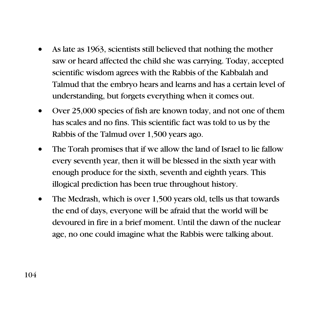- As late as 1963, scientists still believed that nothing the mother saw or heard affected the child she was carrying. Today, accepted scientific wisdom agrees with the Rabbis of the Kabbalah and Talmud that the embryo hears and learns and has a certain level of understanding, but forgets everything when it comes out.
- Over 25,000 species of fish are known today, and not one of them has scales and no fins. This scientific fact was told to us by the Rabbis of the Talmud over 1,500 years ago.
- The Torah promises that if we allow the land of Israel to lie fallow every seventh year, then it will be blessed in the sixth year with enough produce for the sixth, seventh and eighth years. This illogical prediction has been true throughout history.
- The Medrash, which is over 1,500 years old, tells us that towards the end of days, everyone will be afraid that the world will be devoured in fire in a brief moment. Until the dawn of the nuclear age, no one could imagine what the Rabbis were talking about.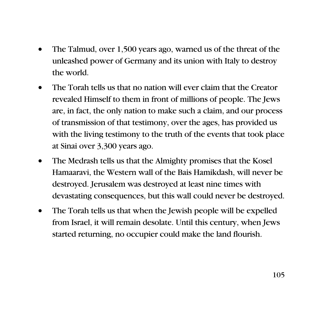- The Talmud, over 1,500 years ago, warned us of the threat of the unleashed power of Germany and its union with Italy to destroy the world.
- The Torah tells us that no nation will ever claim that the Creator revealed Himself to them in front of millions of people. The Jews are, in fact, the only nation to make such a claim, and our process of transmission of that testimony, over the ages, has provided us with the living testimony to the truth of the events that took place at Sinai over 3,300 years ago.
- The Medrash tells us that the Almighty promises that the Kosel Hamaaravi, the Western wall of the Bais Hamikdash, will never be destroyed. Jerusalem was destroyed at least nine times with devastating consequences, but this wall could never be destroyed.
- The Torah tells us that when the Jewish people will be expelled from Israel, it will remain desolate. Until this century, when Jews started returning, no occupier could make the land flourish.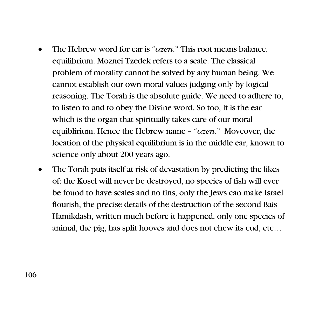- The Hebrew word for ear is "*ozen*." This root means balance, equilibrium. Moznei Tzedek refers to a scale. The classical problem of morality cannot be solved by any human being. We cannot establish our own moral values judging only by logical reasoning. The Torah is the absolute guide. We need to adhere to, to listen to and to obey the Divine word. So too, it is the ear which is the organ that spiritually takes care of our moral equiblirium. Hence the Hebrew name – "*ozen*." Moveover, the location of the physical equilibrium is in the middle ear, known to science only about 200 years ago.
- The Torah puts itself at risk of devastation by predicting the likes of: the Kosel will never be destroyed, no species of fish will ever be found to have scales and no fins, only the Jews can make Israel flourish, the precise details of the destruction of the second Bais Hamikdash, written much before it happened, only one species of animal, the pig, has split hooves and does not chew its cud, etc…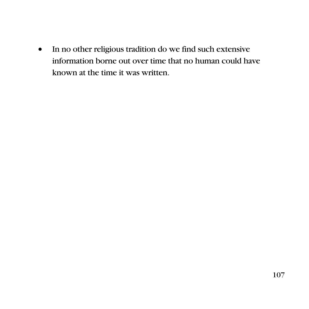• In no other religious tradition do we find such extensive information borne out over time that no human could have known at the time it was written.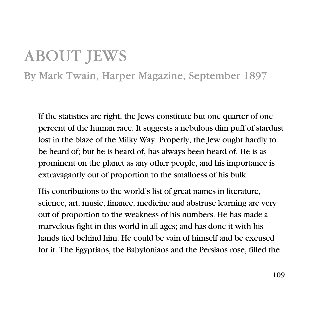## ABOUT JEWS

## By Mark Twain, Harper Magazine, September 1897

If the statistics are right, the Jews constitute but one quarter of one percent of the human race. It suggests a nebulous dim puff of stardust lost in the blaze of the Milky Way. Properly, the Jew ought hardly to be heard of; but he is heard of, has always been heard of. He is as prominent on the planet as any other people, and his importance is extravagantly out of proportion to the smallness of his bulk.

His contributions to the world's list of great names in literature, science, art, music, finance, medicine and abstruse learning are very out of proportion to the weakness of his numbers. He has made a marvelous fight in this world in all ages; and has done it with his hands tied behind him. He could be vain of himself and be excused for it. The Egyptians, the Babylonians and the Persians rose, filled the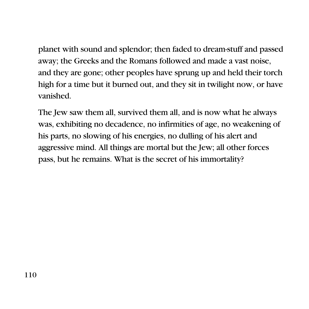planet with sound and splendor; then faded to dream-stuff and passed away; the Greeks and the Romans followed and made a vast noise, and they are gone; other peoples have sprung up and held their torch high for a time but it burned out, and they sit in twilight now, or have vanished.

The Jew saw them all, survived them all, and is now what he always was, exhibiting no decadence, no infirmities of age, no weakening of his parts, no slowing of his energies, no dulling of his alert and aggressive mind. All things are mortal but the Jew; all other forces pass, but he remains. What is the secret of his immortality?